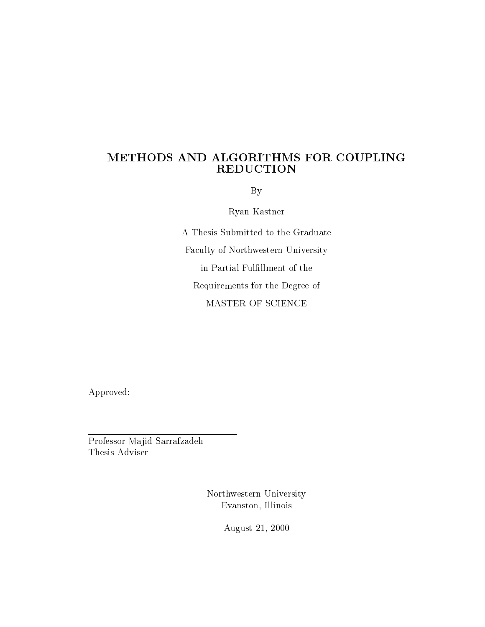## METHODS AND ALGORITHMS FOR COUPLING REDUCTION

By

Ryan Kastner

A Thesis Submitted to the Graduate Faculty of Northwestern University in Partial Fulllment of the Requirements for the Degree of MASTER OF SCIENCE

Approved:

Professor Majid Sarrafzadeh Thesis Adviser

> Northwestern University Evanston, Illinois

> > August 21, 2000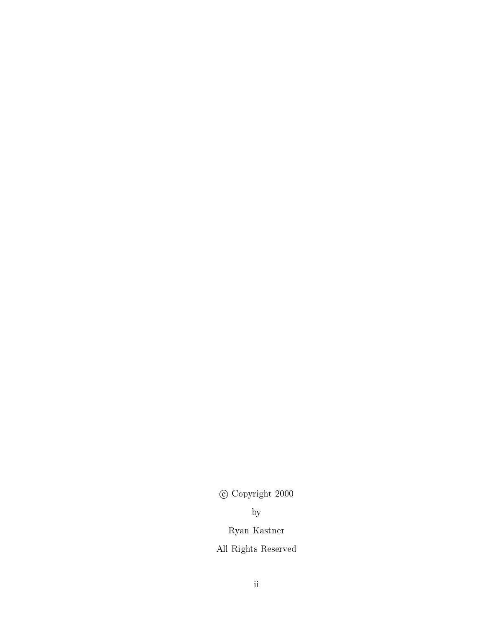$\odot$  Copyright 2000

by

Ryan Kastner

All Rights Reserved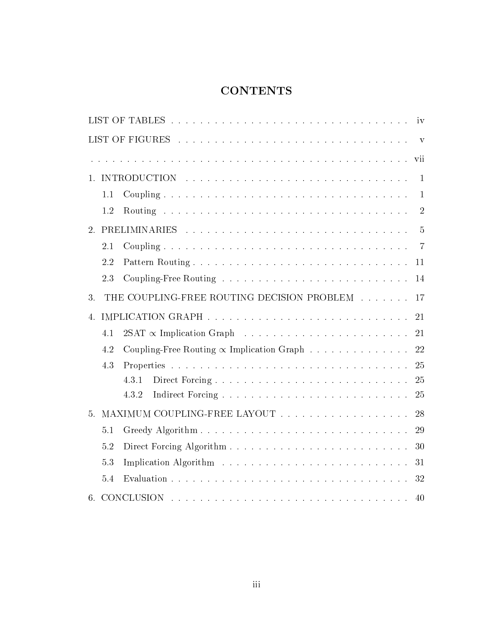# **CONTENTS**

|                                                             | $\mathbf{1}$   |
|-------------------------------------------------------------|----------------|
| 1.1                                                         | -1             |
| 1.2                                                         | $\overline{2}$ |
|                                                             | 5              |
| 2.1                                                         | - 7            |
| 2.2                                                         |                |
| 2.3                                                         |                |
| THE COUPLING-FREE ROUTING DECISION PROBLEM 17<br>3.         |                |
| 4.                                                          |                |
| 4.1                                                         |                |
| Coupling-Free Routing $\propto$ Implication Graph 22<br>4.2 |                |
| 4.3                                                         |                |
| 4.3.1                                                       |                |
| 4.3.2                                                       |                |
| MAXIMUM COUPLING-FREE LAYOUT 28<br>5.                       |                |
| 5.1                                                         |                |
| 5.2                                                         |                |
| 5.3                                                         |                |
| 5.4                                                         |                |
|                                                             |                |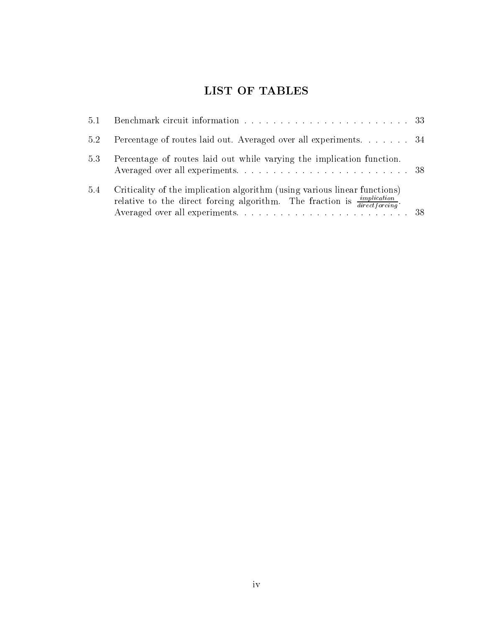# LIST OF TABLES

| 5.2 <sub>1</sub> | Percentage of routes laid out. Averaged over all experiments. 34                                                                                                             |  |
|------------------|------------------------------------------------------------------------------------------------------------------------------------------------------------------------------|--|
| 5.3              | Percentage of routes laid out while varying the implication function.                                                                                                        |  |
| 5.4              | Criticality of the implication algorithm (using various linear functions)<br>relative to the direct forcing algorithm. The fraction is $\frac{implication}{directforcing}$ . |  |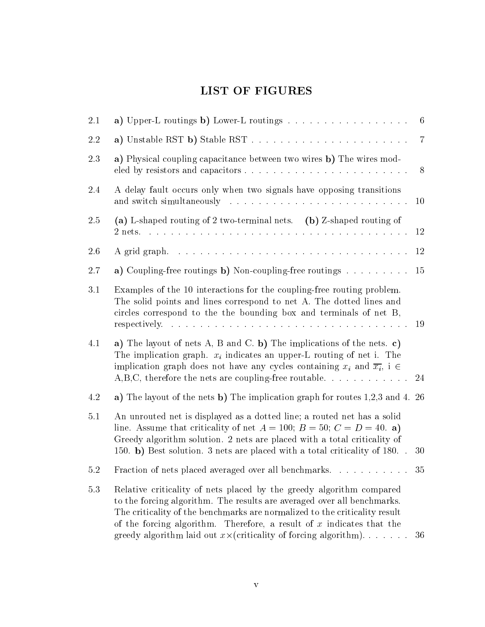## LIST OF FIGURES

| 2.1     | a) Upper-L routings b) Lower-L routings $\ldots \ldots \ldots \ldots \ldots$                                                                                                                                                                                                                                                                                                         | $6\phantom{.}6$ |
|---------|--------------------------------------------------------------------------------------------------------------------------------------------------------------------------------------------------------------------------------------------------------------------------------------------------------------------------------------------------------------------------------------|-----------------|
| 2.2     |                                                                                                                                                                                                                                                                                                                                                                                      | $\overline{7}$  |
| 2.3     | a) Physical coupling capacitance between two wires b) The wires mod-                                                                                                                                                                                                                                                                                                                 | 8               |
| 2.4     | A delay fault occurs only when two signals have opposing transitions                                                                                                                                                                                                                                                                                                                 | $10\,$          |
| 2.5     | (a) L-shaped routing of 2 two-terminal nets. (b) Z-shaped routing of                                                                                                                                                                                                                                                                                                                 | 12              |
| 2.6     |                                                                                                                                                                                                                                                                                                                                                                                      | <sup>12</sup>   |
| 2.7     | a) Coupling-free routings b) Non-coupling-free routings $\dots \dots \dots$                                                                                                                                                                                                                                                                                                          | 15              |
| 3.1     | Examples of the 10 interactions for the coupling-free routing problem.<br>The solid points and lines correspond to net A. The dotted lines and<br>circles correspond to the the bounding box and terminals of net B,                                                                                                                                                                 | 19              |
| 4.1     | a) The layout of nets A, B and C. b) The implications of the nets. c)<br>The implication graph. $x_i$ indicates an upper-L routing of net i. The<br>implication graph does not have any cycles containing $x_i$ and $\overline{x_i}$ , i $\in$<br>$A,B,C$ , therefore the nets are coupling-free routable.                                                                           | 24              |
| 4.2     | a) The layout of the nets b) The implication graph for routes $1,2,3$ and 4. 26                                                                                                                                                                                                                                                                                                      |                 |
| $5.1\,$ | An unrouted net is displayed as a dotted line; a routed net has a solid<br>line. Assume that criticality of net $A = 100$ ; $B = 50$ ; $C = D = 40$ . a)<br>Greedy algorithm solution. 2 nets are placed with a total criticality of<br>150. b) Best solution. 3 nets are placed with a total criticality of 180                                                                     | 30              |
| 5.2     | Fraction of nets placed averaged over all benchmarks. 35                                                                                                                                                                                                                                                                                                                             |                 |
| $5.3\,$ | Relative criticality of nets placed by the greedy algorithm compared<br>to the forcing algorithm. The results are averaged over all benchmarks.<br>The criticality of the benchmarks are normalized to the criticality result<br>of the forcing algorithm. Therefore, a result of $x$ indicates that the<br>greedy algorithm laid out $x \times (criticality$ of forcing algorithm). | 36              |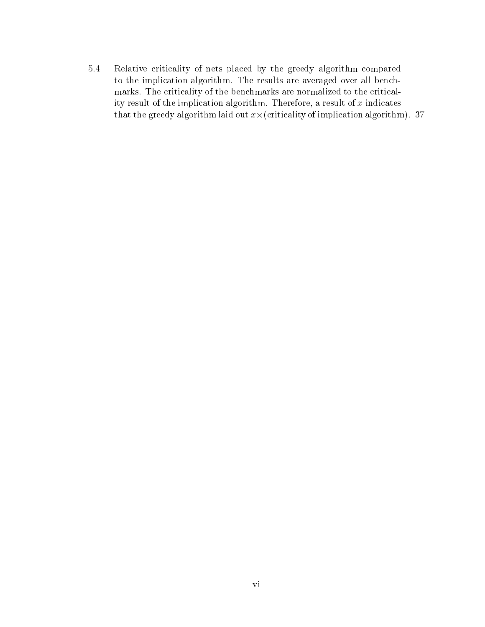5.4 Relative criticality of nets placed by the greedy algorithm compared to the implication algorithm. The results are averaged over all benchmarks. The criticality of the benchmarks are normalized to the criticality result of the implication algorithm. Therefore, a result of  $x$  indicates that the greedy algorithm later  $\alpha$  is a criticality of implication algorithm in  $\alpha$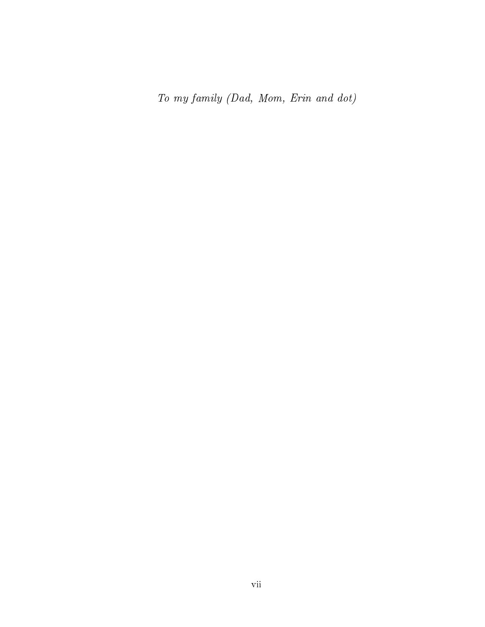To my family (Dad, Mom, Erin and dot)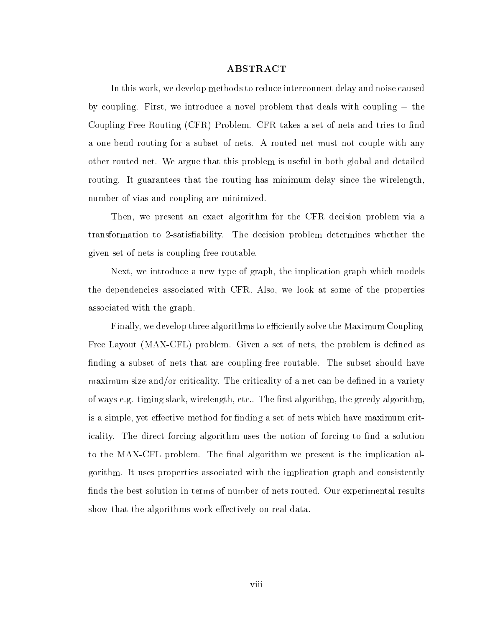#### ${\rm ABSTRACT}$

In this work, we develop methods to reduce interconnect delay and noise caused by coupling. First, we introduce a novel problem that deals with coupling the Coupling-Free Routing (CFR) Problem. CFR takes a set of nets and tries to find a one-bend routing for a subset of nets. A routed net must not couple with any other routed net.We argue that this problem is useful in both global and detailed routing. It guarantees that the routing has minimum delay since the wirelength, number of vias and coupling are minimized.

Then, we present an exact algorithm for the CFR decision problem via a transformation to 2-satisfiability. The decision problem determines whether the given set of nets is coupling-free routable.

Next, we introduce a new type of graph, the implication graph which models the dependencies associated with CFR. Also, we look at some of the properties associated with the graph.

Finally, we develop three algorithms to efficiently solve the Maximum Coupling-Free Layout (MAX-CFL) problem. Given a set of nets, the problem is defined as finding a subset of nets that are coupling-free routable. The subset should have maximum size and/or criticality. The criticality of a net can be defined in a variety of ways e.g. timing slack, wirelength, etc.. The first algorithm, the greedy algorithm. is a simple, yet effective method for finding a set of nets which have maximum criticality. The direct forcing algorithm uses the notion of forcing to find a solution to the MAX-CFL problem. The final algorithm we present is the implication algorithm. It uses properties associated with the implication graph and consistently finds the best solution in terms of number of nets routed. Our experimental results show that the algorithms work effectively on real data.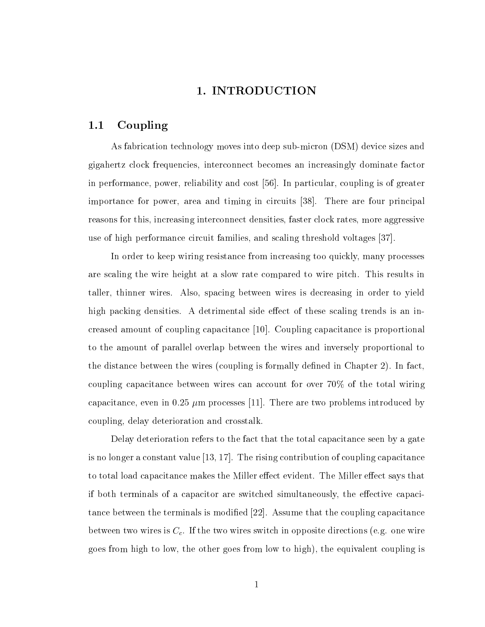#### 1. INTRODUCTION

#### 1.1 Coupling

As fabrication technology moves into deep sub-micron (DSM) device sizes and gigahertz clock frequencies, interconnect becomes an increasingly dominate factor in performance, power, reliability and cost [56]. In particular, coupling is of greater importance for power, area and timing in circuits [38]. There are four principal reasons for this, increasing interconnect densities, faster clock rates, more aggressive use of high performance circuit families, and scaling threshold voltages [37].

In order to keep wiring resistance from increasing too quickly, many processes are scaling the wire height at a slow rate compared to wire pitch. This results in taller, thinner wires. Also, spacing between wires is decreasing in order to yield high packing densities. A detrimental side effect of these scaling trends is an increased amount of coupling capacitance [10]. Coupling capacitance is proportional to the amount of parallel overlap between the wires and inversely proportional to the distance between the wires (coupling is formally defined in Chapter 2). In fact, coupling capacitance between wires can account for over 70% of the total wiring capacitance, even in 0.25  $\mu$ m processes [11]. There are two problems introduced by coupling, delay deterioration and crosstalk.

Delay deterioration refers to the fact that the total capacitance seen by a gate is no longer a constant value [13, 17]. The rising contribution of coupling capacitance to total load capacitance makes the Miller effect evident. The Miller effect says that if both terminals of a capacitor are switched simultaneously, the effective capacitance between the terminals is modified  $[22]$ . Assume that the coupling capacitance between two wires is  $C_c$ . If the two wires switch in opposite directions (e.g. one wire goes from high to low, the other goes from low to high), the equivalent coupling is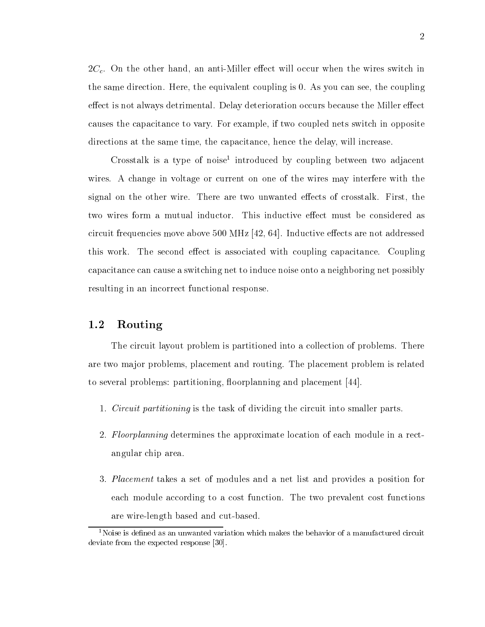$2C_c$ . On the other hand, an anti-Miller effect will occur when the wires switch in the same direction. Here, the equivalent coupling is 0. As you can see, the coupling effect is not always detrimental. Delay deterioration occurs because the Miller effect causes the capacitance to vary. For example, if two coupled nets switch in opposite directions at the same time, the capacitance, hence the delay, will increase.

Crosstalk is a type of noise1 introduced by coupling between two adjacent wires. A change in voltage or current on one of the wires may interfere with the signal on the other wire. There are two unwanted effects of crosstalk. First, the two wires form a mutual inductor. This inductive effect must be considered as circuit frequencies move above 500 MHz  $[42, 64]$ . Inductive effects are not addressed this work. The second effect is associated with coupling capacitance. Coupling capacitance can cause a switching net to induce noise onto a neighboring net possibly resulting in an incorrect functional response.

#### 1.2 Routing

The circuit layout problem is partitioned into a collection of problems. There are two major problems, placement and routing. The placement problem is related to several problems: partitioning, floorplanning and placement [44].

- 1. Circuit partitioning is the task of dividing the circuit into smaller parts.
- 2. Floorplanning determines the approximate location of each module in a rectangular chip area.
- 3. Placement takes a set of modules and a net list and provides a position for each module according to a cost function. The two prevalent cost functions are wire-length based and cut-based.

<sup>&</sup>lt;sup>1</sup>Noise is defined as an unwanted variation which makes the behavior of a manufactured circuit deviate from the expected response [30].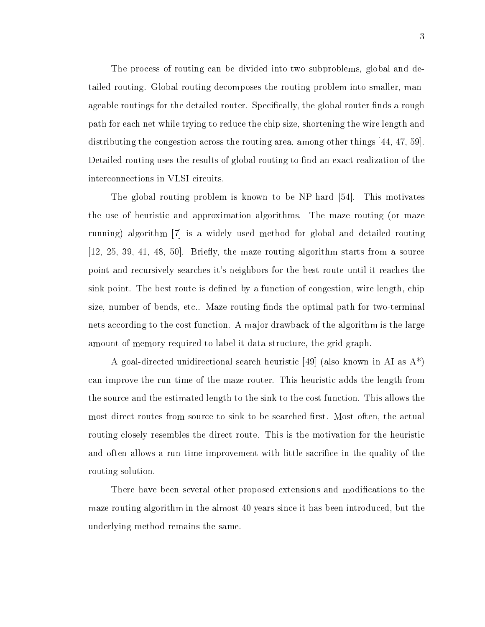The process of routing can be divided into two subproblems, global and detailed routing. Global routing decomposes the routing problem into smaller, manageable routings for the detailed router. Specifically, the global router finds a rough path for each net while trying to reduce the chip size, shortening the wire length and distributing the congestion across the routing area, among other things [44, 47, 59]. Detailed routing uses the results of global routing to find an exact realization of the interconnections in VLSI circuits.

The global routing problem is known to be NP-hard [54]. This motivates the use of heuristic and approximation algorithms. The maze routing (or maze running) algorithm [7] is a widely used method for global and detailed routing  $[12, 25, 39, 41, 48, 50]$ . Briefly, the maze routing algorithm starts from a source point and recursively searches it's neighbors for the best route until it reaches the  $\sin k$  point. The best route is defined by a function of congestion, wire length, chip size, number of bends, etc.. Maze routing finds the optimal path for two-terminal nets according to the cost function. A major drawback of the algorithm is the large amount of memory required to label it data structure, the grid graph.

A goal-directed unidirectional search heuristic [49] (also known in AI as  $A^*$ ) can improve the run time of the maze router. This heuristic adds the length from the source and the estimated length to the sink to the cost function. This allows the most direct routes from source to sink to be searched first. Most often, the actual routing closely resembles the direct route. This is the motivation for the heuristic and often allows a run time improvement with little sacrifice in the quality of the routing solution.

There have been several other proposed extensions and modifications to the maze routing algorithm in the almost 40 years since it has been introduced, but the underlying method remains the same.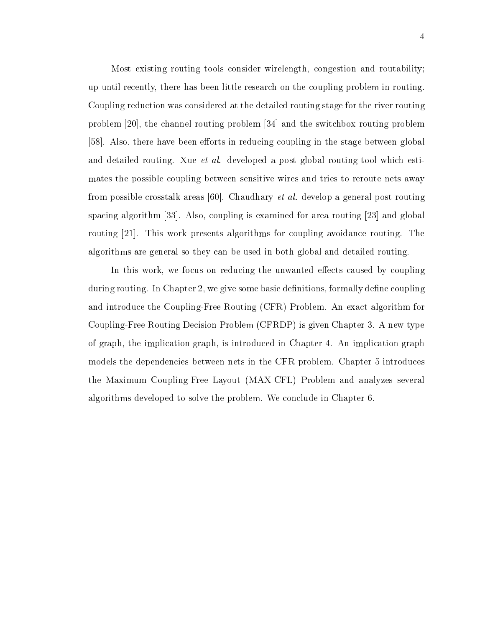Most existing routing tools consider wirelength, congestion and routability; up until recently, there has been little research on the coupling problem in routing. Coupling reduction was considered at the detailed routing stage for the river routing problem [20], the channel routing problem [34] and the switchbox routing problem [58]. Also, there have been efforts in reducing coupling in the stage between global and detailed routing. Xue *et al.* developed a post global routing tool which estimates the possible coupling between sensitive wires and tries to reroute nets away from possible crosstalk areas [60]. Chaudhary et al. develop a general post-routing spacing algorithm [33]. Also, coupling is examined for area routing [23] and global routing [21]. This work presents algorithms for coupling avoidance routing. The algorithms are general so they can be used in both global and detailed routing.

In this work, we focus on reducing the unwanted effects caused by coupling during routing. In Chapter 2, we give some basic definitions, formally define coupling and introduce the Coupling-Free Routing (CFR) Problem. An exact algorithm for Coupling-Free Routing Decision Problem (CFRDP) is given Chapter 3. A new type of graph, the implication graph, is introduced in Chapter 4. An implication graph models the dependencies between nets in the CFR problem. Chapter 5 introduces the Maximum Coupling-Free Layout (MAX-CFL) Problem and analyzes several algorithms developed to solve the problem. We conclude in Chapter 6.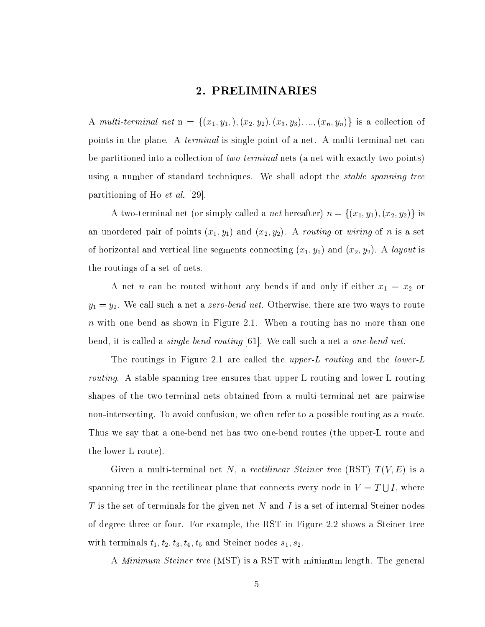#### 2. PRELIMINARIES

A multi-terminal net  $n = \{(x_1, y_1), (x_2, y_2), (x_3, y_3), ..., (x_n, y_n)\}\$ is a collection of points in the plane. A terminal is single point of a net. A multi-terminal net can be partitioned into a collection of two-terminal nets (a net with exactly two points) using a number of standard techniques. We shall adopt the *stable spanning tree* partitioning of Ho et al. [29].

A two-terminal net (or simply called a *net* hereafter)  $n = \{(x_1, y_1), (x_2, y_2)\}$  is an unordered pair of points  $(x_1, y_1)$  and  $(x_2, y_2)$ . A routing or wiring of n is a set of horizontal and vertical line segments connecting  $(x_1, y_1)$  and  $(x_2, y_2)$ . A layout is the routings of a set of nets.

A net *n* can be routed without any bends if and only if either  $x_1 = x_2$  or  $y_1 = y_2$ . We call such a net a *zero-bend net*. Otherwise, there are two ways to route n with one bend as shown in Figure 2.1. When a routing has no more than one bend, it is called a *single bend routing* [61]. We call such a net a *one-bend net*.

The routings in Figure 2.1 are called the *upper-L routing* and the *lower-L* routing. A stable spanning tree ensures that upper-L routing and lower-L routing shapes of the two-terminal nets obtained from a multi-terminal net are pairwise non-intersecting. To avoid confusion, we often refer to a possible routing as a route. Thus we say that a one-bend net has two one-bend routes (the upper-L route and the lower-L route).

Given a multi-terminal net N, a *rectilinear Steiner tree* (RST)  $T(V, E)$  is a spanning tree in the rectilinear plane that connects every node in  $V = T \cup I$ , where T is the set of terminals for the given net N and I is a set of internal Steiner nodes of degree three or four. For example, the RST inFigure 2.2 shows a Steiner tree with terminals  $t_1, t_2, t_3, t_4, t_5$  and Steiner nodes  $s_1, s_2$ .

A Minimum Steiner tree (MST) is a RST with minimum length. The general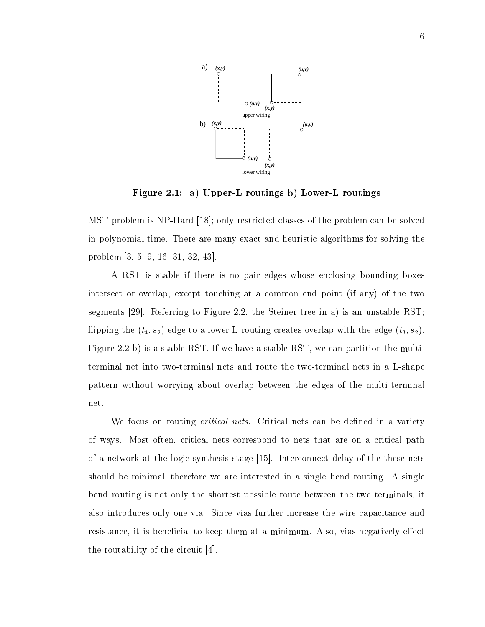

Figure 2.1: a) Upper-L routings b) Lower-L routings

MST problem is NP-Hard [18]; only restricted classes of the problem can be solved in polynomial time. There are many exact and heuristic algorithms for solving the problem [3, 5, 9, 16, 31, 32, 43].

A RST is stable if there is no pair edges whose enclosing bounding boxes intersect or overlap, except touching at a common end point (if any) of the two segments [29]. Referring to Figure 2.2, the Steiner tree in a) is an unstable RST; flipping the  $(t_4, s_2)$  edge to a lower-L routing creates overlap with the edge  $(t_3, s_2)$ . Figure 2.2 b) is a stable RST. If we have a stable RST, we can partition the multiterminal net into two-terminal nets and route the two-terminal nets in a L-shape pattern without worrying about overlap between the edges of the multi-terminal net.

We focus on routing *critical nets*. Critical nets can be defined in a variety of ways. Most often, critical nets correspond to nets that are on a critical path of a network at the logic synthesis stage [15]. Interconnect delay of the these nets should be minimal, therefore we are interested in a single bend routing. A single bend routing is not only the shortest possible route between the two terminals, it also introduces only one via. Since vias further increase the wire capacitance and resistance, it is beneficial to keep them at a minimum. Also, vias negatively effect the routability of the circuit [4].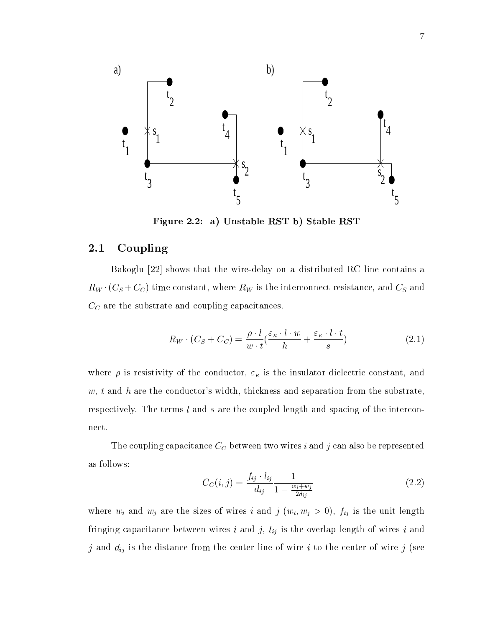

Figure 2.2: a) Unstable RST b) Stable RST

#### 2.1 Coupling

Bakoglu  $[22]$  shows that the wire-delay on a distributed RC line contains a  $\text{C}$  (CS ) time constant, where  $\text{C}$  is the interconnect resistance, and  $\text{C}$  and  $\text{C}$  and  $\text{C}$  and  $\text{C}$  and  $\text{C}$  and  $\text{C}$  and  $\text{C}$  and  $\text{C}$  and  $\text{C}$  and  $\text{C}$  and  $\text{C}$  and  $\text{C}$  an  $C_C$  are the substrate and coupling capacitances.

$$
R_W \cdot (C_S + C_C) = \frac{\rho \cdot l}{w \cdot t} (\frac{\varepsilon_\kappa \cdot l \cdot w}{h} + \frac{\varepsilon_\kappa \cdot l \cdot t}{s}) \tag{2.1}
$$

where  $\rho$  is resistivity of the conductor,  $\varepsilon_{\kappa}$  is the insulator dielectric constant, and  $w, t$  and h are the conductor's width, thickness and separation from the substrate, respectively. The terms  $l$  and  $s$  are the coupled length and spacing of the interconnect.

The coupling capacitance  $C_C$  between two wires i and j can also be represented as follows:

$$
C_C(i,j) = \frac{f_{ij} \cdot l_{ij}}{d_{ij}} \frac{1}{1 - \frac{w_i + w_j}{2d_{ij}}}
$$
(2.2)

where  $w_i$  and  $w_j$  are the sizes of wires i and j  $(w_i, w_j > 0)$ ,  $f_{ij}$  is the unit length fringing capacitance between wires i and j, l ij is the overlap length of wires <sup>i</sup> and j and  $d_{ij}$  is the distance from the center line of wire i to the center of wire j (see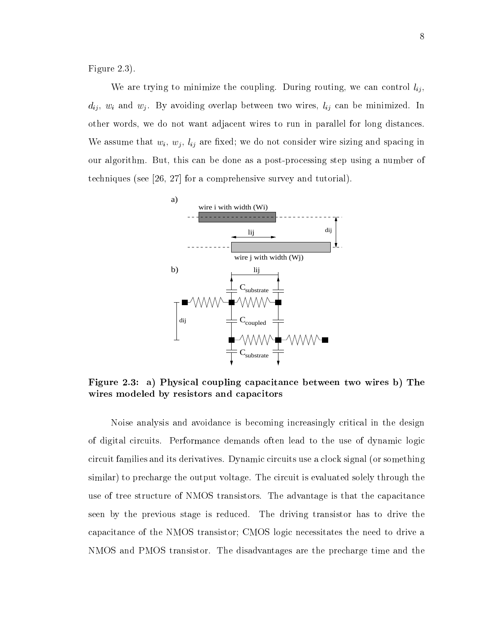Figure 2.3).

we are trying to minimizing the coupling. During rough routing, we can control l $\eta$  , , with a state over later two winds over later two winds over later two winds  $\mathbf{u}$ other words, we do not want adjacent wires to run in parallel for long distances. where we are with wire are  $\omega$  are  $\omega$  . The consider wire sizing and spacing in  $\omega$ our algorithm. But, this can be done as a post-processing step using a number of techniques (see [26, 27] for a comprehensive survey and tutorial).



Figure 2.3: a) Physical coupling capacitance between two wires b) The wires modeled by resistors and capacitors

Noise analysis and avoidance is becoming increasingly critical in the design of digital circuits. Performance demands often lead to the use of dynamic logic circuit families and its derivatives. Dynamic circuits use a clock signal (or something similar) to precharge the output voltage. The circuit is evaluated solely through the use of tree structure of NMOS transistors. The advantage is that the capacitance seen by the previous stage is reduced. The driving transistor has to drive the capacitance of the NMOS transistor; CMOS logic necessitates the need to drive a NMOS and PMOS transistor. The disadvantages are the precharge time and the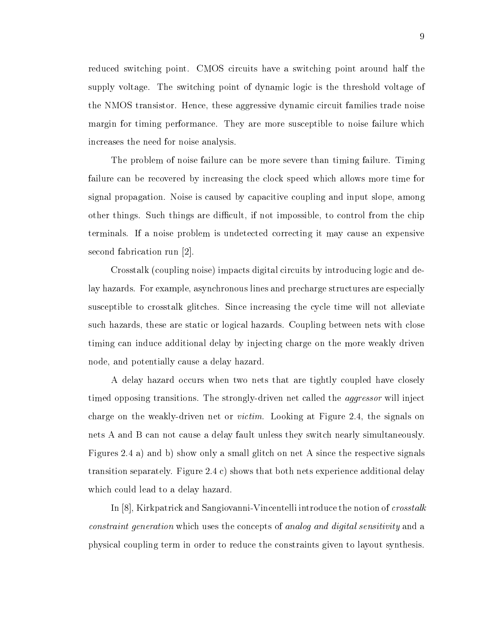reduced switching point. CMOS circuits have a switching point around half the supply voltage. The switching point of dynamic logic is the threshold voltage of the NMOS transistor. Hence, these aggressive dynamic circuit families trade noise margin for timing performance. They are more susceptible to noise failure which increases the need for noise analysis.

The problem of noise failure can be more severe than timing failure. Timing failure can be recovered by increasing the clock speed which allows more time for signal propagation. Noise is caused by capacitive coupling and input slope, among other things. Such things are difficult, if not impossible, to control from the chip terminals. If a noise problem is undetected correcting it may cause an expensive second fabrication run [2].

Crosstalk (coupling noise) impacts digital circuits by introducing logic and delay hazards. For example, asynchronous lines and precharge structures are especially susceptible to crosstalk glitches. Since increasing the cycle time will not alleviate such hazards, these are static or logical hazards. Coupling between nets with close timing can induce additional delay by injecting charge on the more weakly driven node, and potentially cause a delay hazard.

A delay hazard occurs when two nets that are tightly coupled have closely timed opposing transitions. The strongly-driven net called the aggressor will inject charge on the weakly-driven net or victim. Looking at Figure 2.4, the signals on nets A and B can not cause a delay fault unless they switch nearly simultaneously. Figures 2.4 a) and b) show only a small glitch on net A since the respective signals transition separately. Figure 2.4 c) shows that both nets experience additional delay which could lead to a delay hazard.

In [8], Kirkpatrick and Sangiovanni-Vincentelli introduce the notion of crosstalk constraint generation which uses the concepts of analog and digital sensitivity and a physical coupling term in order to reduce the constraints given to layout synthesis.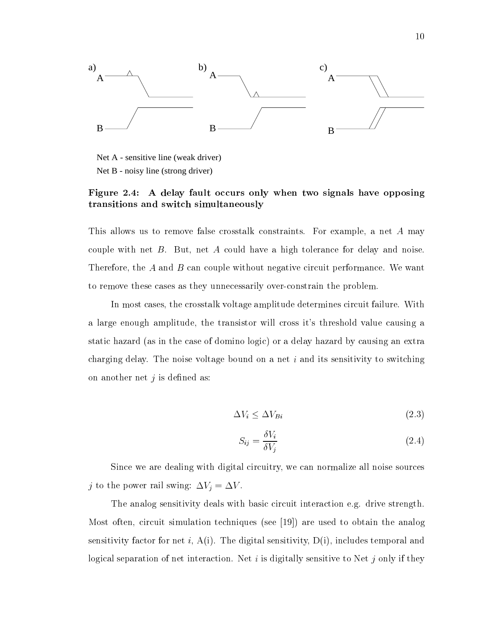

Net B - noisy line (strong driver) Net A - sensitive line (weak driver)

#### Figure 2.4: A delay fault occurs only when two signals have opposing transitions and switch simultaneously

This allows us to remove false crosstalk constraints. For example, a net A may couple with net B. But, net A could have a high tolerance for delay and noise. Therefore, the A and B can couple without negative circuit performance. We want to remove these cases as they unnecessarily over-constrain the problem.

In most cases, the crosstalk voltage amplitude determines circuit failure. With a large enough amplitude, the transistor will cross it's threshold value causing a static hazard (as in the case of domino logic) or a delay hazard by causing an extra charging delay. The noise voltage bound on a net  $i$  and its sensitivity to switching on another net  $j$  is defined as:

$$
\Delta V_i \le \Delta V_{Bi} \tag{2.3}
$$

$$
S_{ij} = \frac{\delta V_i}{\delta V_j} \tag{2.4}
$$

Since we are dealing with digital circuitry, we can normalize all noise sources j to the power rail swing:  $\Delta V_j = \Delta V$ .

The analog sensitivity deals with basic circuit interaction e.g. drive strength. Most often, circuit simulation techniques (see [19]) are used to obtain the analog sensitivity factor for net i,  $A(i)$ . The digital sensitivity,  $D(i)$ , includes temporal and logical separation of net interaction. Net i is digitally sensitive to Net j only if they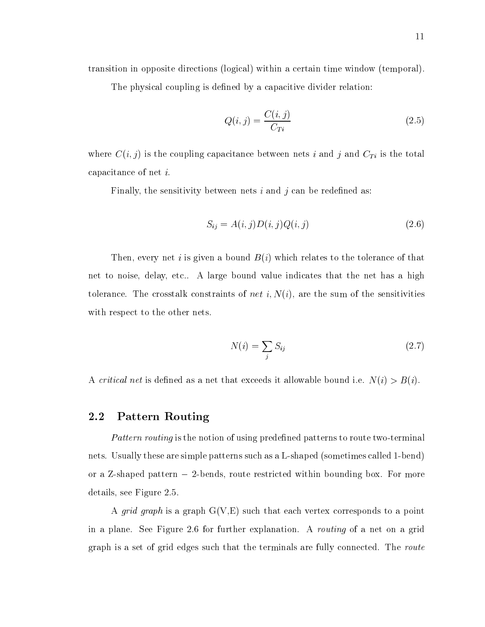transition in opposite directions (logical) within a certain time window (temporal).

The physical coupling is defined by a capacitive divider relation:

$$
Q(i,j) = \frac{C(i,j)}{C_{Ti}}\tag{2.5}
$$

where  $C(i, j)$  is the coupling capacitance between nets i and j and  $C_{Ti}$  is the total capacitance of net i.

Finally, the sensitivity between nets  $i$  and  $j$  can be redefined as:

$$
S_{ij} = A(i,j)D(i,j)Q(i,j)
$$
\n
$$
(2.6)
$$

Then, every net i is given a bound  $B(i)$  which relates to the tolerance of that net to noise, delay, etc.. A large bound value indicates that the net has a high tolerance. The crosstalk constraints of net  $i, N(i)$ , are the sum of the sensitivities with respect to the other nets.

$$
N(i) = \sum_{j} S_{ij} \tag{2.7}
$$

A critical net is defined as a net that exceeds it allowable bound i.e.  $N(i) > B(i)$ .

## 2.2 Pattern Routing

Pattern routing is the notion of using predefined patterns to route two-terminal nets. Usually these are simple patterns such as a L-shaped (sometimes called 1-bend) or a Z-shaped pattern 2-bends, route restricted within bounding box. For more details, see Figure 2.5.

A grid graph is a graph  $G(V,E)$  such that each vertex corresponds to a point in a plane. See Figure 2.6 for further explanation. A routing of a net on a grid graph is a set of grid edges such that the terminals are fully connected. The route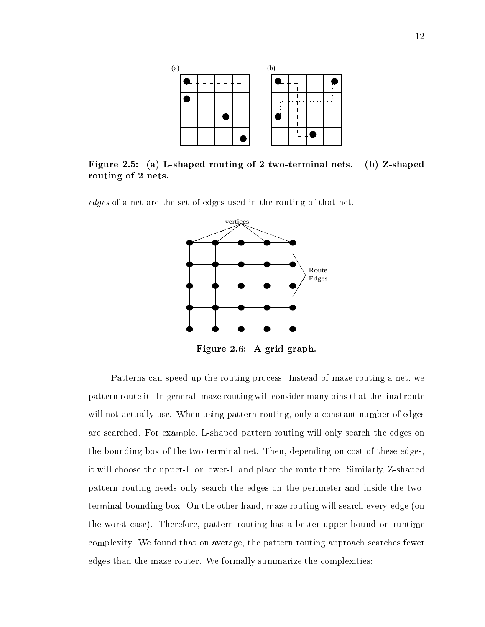

Figure 2.5: (a) L-shaped routing of 2 two-terminal nets. (b) Z-shaped routing of 2 nets.

edges of a net are the set of edges used in the routing of that net.



Figure 2.6: A grid graph.

Patterns can speed up the routing process. Instead of maze routing a net, we pattern route it. In general, maze routing will consider many bins that the final route will not actually use. When using pattern routing, only a constant number of edges are searched. For example, L-shaped pattern routing will only search the edges on the bounding box of the two-terminal net. Then, depending on cost of these edges, it will choose the upper-L or lower-L and place the route there. Similarly, Z-shaped pattern routing needs only search the edges on the perimeter and inside the twoterminal bounding box. On the other hand, maze routing will search every edge (on the worst case). Therefore, pattern routing has a better upper bound on runtime complexity. We found that on average, the pattern routing approach searches fewer edges than the maze router. We formally summarize the complexities: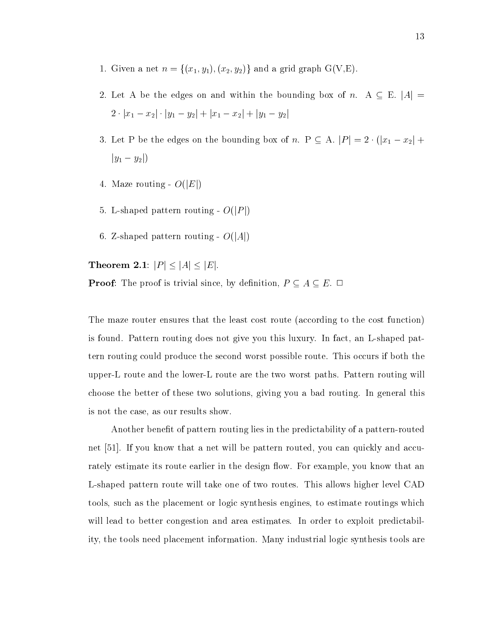- 1. Given a net  $n = \{(x_1, y_1), (x_2, y_2)\}$  and a grid graph  $G(V, E)$ .
- $\Omega$  box on and within the box of n. A box of n. A  $\mu$  is n. A  $\mu$  = n. A  $\mu$  $2 \cdot |x_1 - x_2| \cdot |y_1 - y_2| + |x_1 - x_2| + |y_1 - y_2|$
- 3. Let P be the edges on the bounding box of n. P A. jP j <sup>=</sup> <sup>2</sup> (jx1 x2j <sup>+</sup>  $|y_1 - y_2|$
- 4. Maze routing  $O(|E|)$
- 5. L-shaped pattern routing  $O(|P|)$
- 6. Z-shaped pattern routing  $O(|A|)$

Theorem 2.1: j<sup>P</sup> jjAjjEj.

 $P$  is the proof is trivial since, by depending in the proof  $P$  ,  $P$  and  $P$  and  $P$  and  $P$  are  $P$  and  $P$  and  $P$  and  $P$  and  $P$  and  $P$  and  $P$  and  $P$  and  $P$  and  $P$  and  $P$  and  $P$  and  $P$  and  $P$  and  $P$  and  $P$ 

The maze router ensures that the least cost route (according to the cost function) is found. Pattern routing does not give you this luxury. In fact, an L-shaped pattern routing could produce the second worst possible route. This occurs if both the upper-L route and the lower-L route are the two worst paths. Pattern routing will choose the better of these two solutions, giving you a bad routing. In general this is not the case, as our results show.

Another benefit of pattern routing lies in the predictability of a pattern-routed net [51]. If you know that a net will be pattern routed, you can quickly and accurately estimate its route earlier in the design flow. For example, you know that an L-shaped pattern route will take one of two routes. This allows higher level CAD tools, such as the placement or logic synthesis engines, to estimate routings which will lead to better congestion and area estimates. In order to exploit predictability, the tools need placement information. Many industrial logic synthesis tools are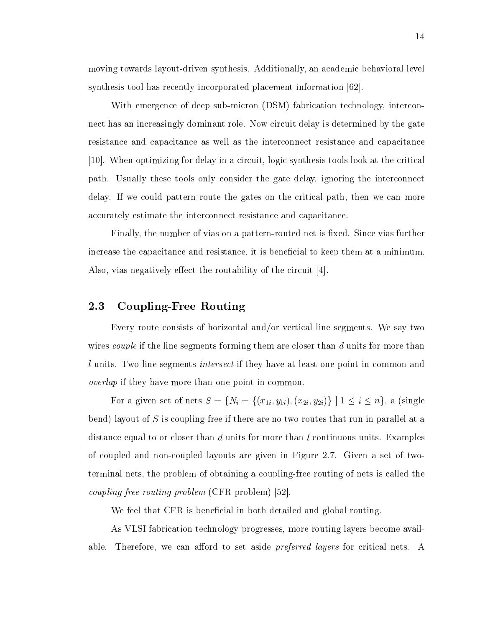moving towards layout-driven synthesis. Additionally, an academic behavioral level synthesis tool has recently incorporated placement information [62].

With emergence of deep sub-micron (DSM) fabrication technology, interconnect has an increasingly dominant role. Now circuit delay is determined by the gate resistance and capacitance as well as the interconnect resistance and capacitance [10]. When optimizing for delay in a circuit, logic synthesis tools look at the critical path. Usually these tools only consider the gate delay, ignoring the interconnect delay. If we could pattern route the gates on the critical path, then we can more accurately estimate the interconnect resistance and capacitance.

Finally, the number of vias on a pattern-routed net is fixed. Since vias further increase the capacitance and resistance, it is beneficial to keep them at a minimum. Also, vias negatively effect the routability of the circuit  $[4]$ .

#### 2.3 Coupling-Free Routing

Every route consists of horizontal and/or vertical line segments. We say two wires *couple* if the line segments forming them are closer than  $d$  units for more than l units. Two line segments *intersect* if they have at least one point in common and overlap if they have more than one point in common.

For a given set of nets  $S = \{N_i = \{(x_{1i}, y_{1i}), (x_{2i}, y_{2i})\} \mid 1 \le i \le n\}$ , a (single bend) layout of  $S$  is coupling-free if there are no two routes that run in parallel at a distance equal to or closer than  $d$  units for more than  $l$  continuous units. Examples of coupled and non-coupled layouts are given in Figure 2.7. Given a set of twoterminal nets, the problem of obtaining a coupling-free routing of nets is called the coupling-free routing problem (CFR problem) [52].

We feel that CFR is beneficial in both detailed and global routing.

As VLSI fabrication technology progresses, more routing layers become available. Therefore, we can afford to set aside *preferred layers* for critical nets. A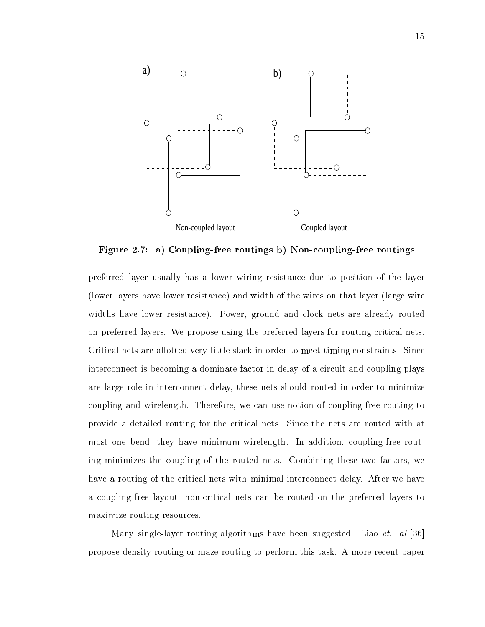

Figure 2.7: a) Coupling-free routings b) Non-coupling-free routings

preferred layer usually has a lower wiring resistance due to position of the layer (lower layers have lower resistance) and width of the wires on that layer (large wire widths have lower resistance). Power, ground and clock nets are already routed on preferred layers. We propose using the preferred layers for routing critical nets. Critical nets are allotted very little slack in order to meet timing constraints. Since interconnect is becoming a dominate factor in delay of a circuit and coupling plays are large role in interconnect delay, these nets should routed in order to minimize coupling and wirelength. Therefore, we can use notion of coupling-free routing to provide a detailed routing for the critical nets. Since the nets are routed with at most one bend, they have minimum wirelength. In addition, coupling-free routing minimizes the coupling of the routed nets. Combining these two factors, we have a routing of the critical nets with minimal interconnect delay. After we have a coupling-free layout, non-critical nets can be routed on the preferred layers to maximize routing resources.

Many single-layer routing algorithms have been suggested. Liao *et. al* [36] propose density routing or maze routing to perform this task. A more recent paper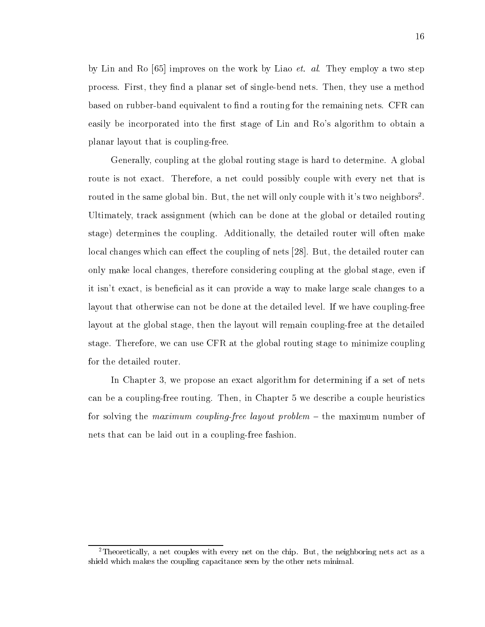by Lin and Ro [65] improves on the work by Liao et. al. They employ a two step process. First, they find a planar set of single-bend nets. Then, they use a method based on rubber-band equivalent to find a routing for the remaining nets. CFR can easily be incorporated into the first stage of Lin and Ro's algorithm to obtain a planar layout that is coupling-free.

Generally, coupling at the global routing stage is hard to determine. A global route is not exact. Therefore, a net could possibly couple with every net that is routed in the same global bin. But, the net will only couple with it's two neighbors<sup>2</sup>. Ultimately, track assignment (which can be done at the global or detailed routing stage) determines the coupling. Additionally, the detailed router will often make local changes which can effect the coupling of nets [28]. But, the detailed router can only make local changes, therefore considering coupling at the global stage, even if it isn't exact, is beneficial as it can provide a way to make large scale changes to a layout that otherwise can not be done at the detailed level. If we have coupling-free layout at the global stage, then the layout will remain coupling-free at the detailed stage. Therefore, we can use CFR at the global routing stage to minimize coupling for the detailed router.

In Chapter 3, we propose an exact algorithm for determining if a set of nets can be a coupling-free routing. Then, in Chapter 5 we describe a couple heuristics for solving the *maximum coupling-free layout problem –* the maximum number of nets that can be laid out in a coupling-free fashion.

<sup>2</sup>Theoretically, a net couples with every net on the chip. But, the neighboring nets act as a shield which makes the coupling capacitance seen by the other nets minimal.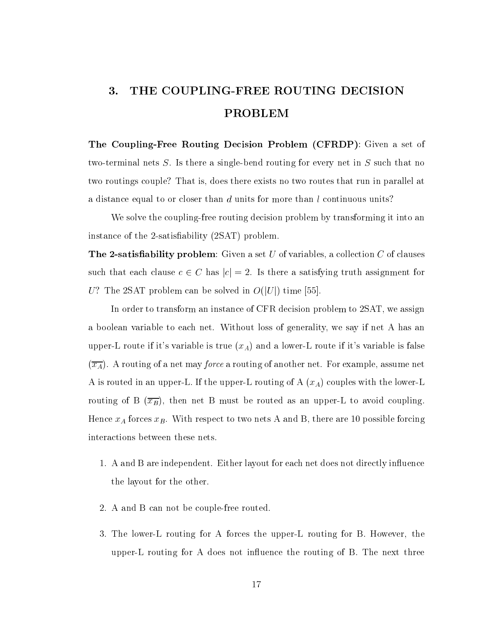# 3. THE COUPLING-FREE ROUTING DECISION PROBLEM

The Coupling-Free Routing Decision Problem (CFRDP): Given a set of two-terminal nets  $S$ . Is there a single-bend routing for every net in  $S$  such that no two routings couple? That is, does there exists no two routes that run in parallel at a distance equal to or closer than  $d$  units for more than  $l$  continuous units?

We solve the coupling-free routing decision problem by transforming it into an instance of the 2-satisability (2SAT) problem.

**The 2-satisfiability problem**: Given a set U of variables, a collection C of clauses such that each clause c 2 <sup>C</sup> has jcj = 2. Is there <sup>a</sup> satisfying truth assignment for U? The 2SAT problem can be solved in  $O(|U|)$  time [55].

In order to transform an instance of CFR decision problem to 2SAT, we assign a boolean variable to each net.Without loss of generality, we say if net A has an upper-L route if it's variable is true  $(x_A)$  and a lower-L route if it's variable is false  $(\overline{x_A})$ . A routing of a net may *force* a routing of another net. For example, assume net A is routed in an upper-L. If the upper-L routing of A  $(x_A)$  couples with the lower-L routing of B  $(\overline{x_B})$ , then net B must be routed as an upper-L to avoid coupling. Hence  $x_A$  forces  $x_B$ . With respect to two nets A and B, there are 10 possible forcing interactions between these nets.

- 1. A and B are independent. Either layout for each net does not directly influence the layout for the other.
- 2. A and B can not be couple-free routed.
- 3. The lower-L routing for A forces the upper-L routing for B. However, the upper-L routing for A does not influence the routing of B. The next three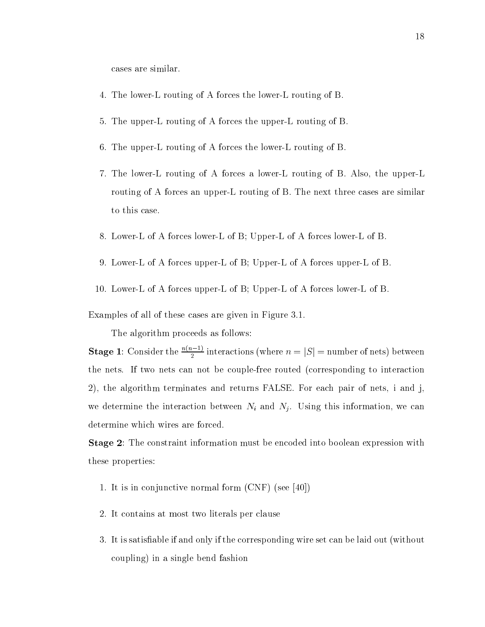cases are similar.

- 4. The lower-L routing of A forces the lower-L routing of B.
- 5. The upper-L routing of A forces the upper-L routing of B.
- 6. The upper-L routing of A forces the lower-L routing of B.
- 7. The lower-L routing of A forces a lower-L routing of B. Also, the upper-L routing of A forces an upper-L routing of B. The next three cases are similar to this case.
- 8. Lower-L of A forces lower-L of B; Upper-L of A forces lower-L of B.
- 9. Lower-L of A forces upper-L of B; Upper-L of A forces upper-L of B.
- 10. Lower-L of A forces upper-L of B; Upper-L of A forces lower-L of B.

Examples of all of these cases are given in Figure 3.1.

The algorithm proceeds as follows:

**Stage 1**: Consider the  $\frac{1}{2}$  interactions (where  $n = |S|$  = number of nets) between the nets. If two nets can not be couple-free routed (corresponding to interaction 2), the algorithm terminates and returns FALSE. For each pair of nets, i and j, we determine the interaction between  $N_i$  and  $N_j$ . Using this information, we can determine which wires are forced.

Stage 2: The constraint information must be encoded into boolean expression with these properties:

- 1. It is in conjunctive normal form (CNF) (see [40])
- 2. It contains at most two literals per clause
- 3. It is satisfiable if and only if the corresponding wire set can be laid out (without coupling) in a single bend fashion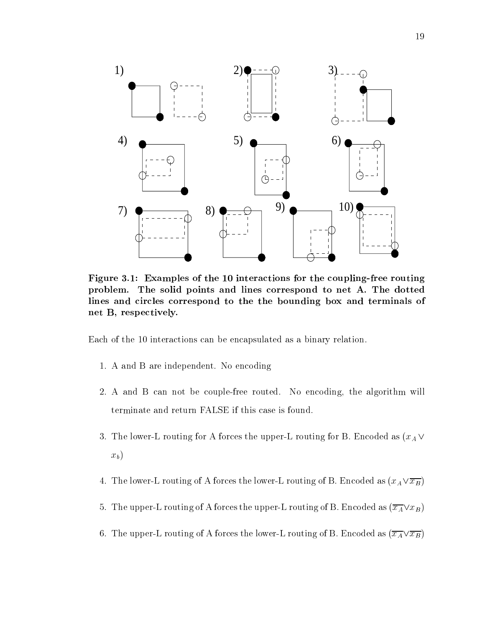

Figure 3.1: Examples of the 10 interactions for the coupling-free routing problem. The solid points and lines correspond to net A. The dotted lines and circles correspond to the the bounding box and terminals of net B, respectively.

Each of the 10 interactions can be encapsulated as a binary relation.

- 1. A and B are independent. No encoding
- 2. A and B can not be couple-free routed. No encoding, the algorithm will terminate and return FALSE if this case is found.
- $\overline{1}$  and upper-L routing for A forces the upper-L routing for B. Encoded as (xA  $\overline{1}$  as (xA  $\overline{2}$  as (xA  $\overline{2}$  as (xA  $\overline{2}$  as (xA  $\overline{2}$  as (xA  $\overline{2}$  as (xA  $\overline{2}$  as (xA  $\overline{2}$  as (xA  $\overline{2}$   $x_b$ )
- $\alpha$  and  $\alpha$  forces the lower-lower-lower-lower-lower-lower-lower-lower-lower-lower-lower-lower-lower-lower-lower-lower-lower-lower-lower-lower-lower-lower-lower-lower-lower-lower-lower-lower-lower-lower-lower-lower-lowe
- 5. The upper-L routing of A forces the upper-L routing of B. Encoded as  $(\overline{x_A} \vee x_B)$
- 6. The upper-L routing of A forces the lower-L routing of B. Encoded as  $(\overline{x_A}\vee \overline{x_B})$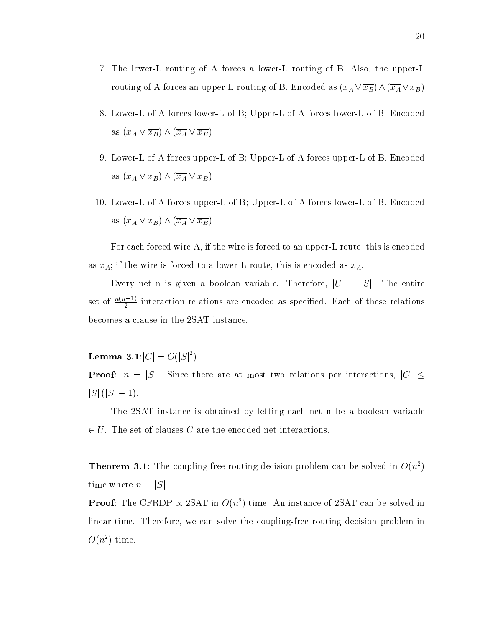- 7. The lower-L routing of A forces a lower-L routing of B. Also, the upper-L routing of A forces and upper-L routing of B. Encoded as  $(x_A \wedge \neg B) \wedge (x_A \wedge \neg B)$
- 8. Lower-L of A forces lower-L of B; Upper-L of A forces lower-L of B. Encoded as (xA  $\alpha$   $\beta$ )  $\alpha$  (xA  $\alpha$   $\beta$ )
- 9. Lower-L of A forces upper-L of B; Upper-L of A forces upper-L of B. Encoded  $\lambda$   $\mathbf{A}$   $\mathbf{B}$ )  $\lambda$   $\mathbf{A}$   $\mathbf{B}$
- 10. Lower-L of A forces upper-L of B; Upper-L of A forces lower-L of B. Encoded  $\lambda$   $\mathbf{A}$   $\mathbf{B}$ )  $\lambda$   $\mathbf{A}$   $\mathbf{B}$

For each forced wire A, if the wire is forced to an upper-L route, this is encoded as  $x_A$ ; if the wire is forced to a lower-L route, this is encoded as  $\overline{x_A}$ .

Every net n is given a boolean variable. Therefore,  $|U| = |S|$ . The entire set of  $\frac{\Delta_2}{2}$  interaction relations are encoded as specified. Each of these relations becomes a clause in the 2SAT instance.

Lemma 3.1: $|C| = O(|S|^2)$ 

**Proof:**  $n = |S|$ . Since there are at most two relations per interactions,  $|C| \le$ 

 $\frac{1}{\sqrt{2}}$  The 2SAT instance is obtained by letting each net n be a boolean variable  $\in U$ . The set of clauses C are the encoded net interactions.

**Theorem 3.1**: The coupling-free routing decision problem can be solved in  $O(n^2)$ time where  $n = |S|$ 

**Proof:** The CFRDP  $\alpha$  2SAT in  $O(n^2)$  time. An instance of 2SAT can be solved in linear time. Therefore, we can solve the coupling-free routing decision problem in  $O(n^2)$  time.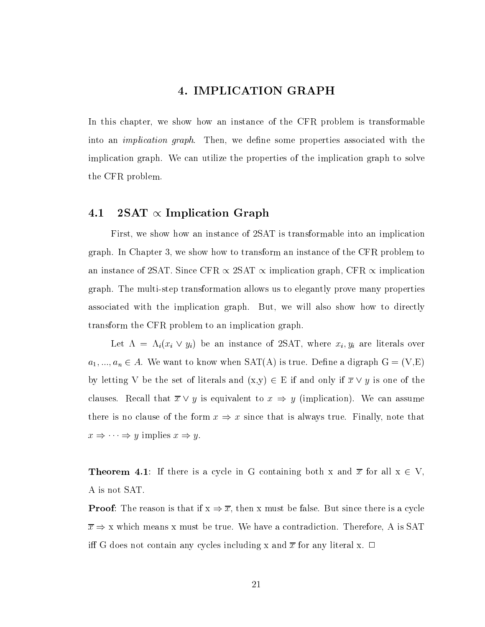#### 4. IMPLICATION GRAPH

In this chapter, we show how an instance of the CFR problem is transformable into an *implication graph*. Then, we define some properties associated with the implication graph. We can utilize the properties of the implication graph to solve the CFR problem.

#### 4.1 2SAT  $\propto$  Implication Graph

First, we show how an instance of 2SAT is transformable into an implication graph. In Chapter 3, we show how to transform an instance of the CFR problem to and instance of 2SAT. Since  $\mathbf{S}$  is equal of  $\mathbf{S}$  implication graph, cframe, cframe, cframe, cframe, cfr graph. The multi-step transformation allows us to elegantly prove many properties associated with the implication graph. But, we will also show how to directly transform the CFR problem to an implication graph.

Let <sup>=</sup> i(xi \_ yi) be an instance of 2SAT, where xi; yi are literals over and  $\alpha$  and  $\alpha$  and  $\alpha$  and  $\alpha$  and  $\alpha$  are denoted the same difference and dispersion and  $\alpha$  and  $\alpha$ by and  $\lambda$  be the set of literature and only if  $\lambda$  if  $\lambda$  is one of the one of the the one of the the the the the the set of the the set of the set of the set of the set of the set of the set of the set of the set of colauses. Recolauses that  $\alpha$  ,  $\beta$  is equivalent to  $\alpha$  ,  $\beta$  (inplication). We can assume that assume there is no clause of the form  $\mathcal{Y}$  since that is always true. Finally, note that is always true. Finally, note that is always true. Finally, note that is always true. Finally, note that is always true. Finally, note  $\frac{1}{x}$  ) y implies  $\frac{1}{y}$ .

 $\mathcal{O}$  and  $\mathcal{O}$  containing both  $\mathcal{O}$  and  $\mathcal{O}$  and  $\mathcal{O}$  and  $\mathcal{O}$  and  $\mathcal{O}$  and  $\mathcal{O}$  and  $\mathcal{O}$  and  $\mathcal{O}$  and  $\mathcal{O}$  and  $\mathcal{O}$  and  $\mathcal{O}$  and  $\mathcal{O}$  and  $\mathcal{O}$  and  $\mathcal{O}$  and A is not SAT.

 $\mathcal P$  , that if  $\mathcal P$  is that if  $\mathcal P$  is a cycle that if  $\mathcal P$  is a cycle there is a cycle there is a cycle  $\mathcal{X}$  ) and true. We have a contradiction. We have a contradiction. Therefore, A is SAT is SAT is SAT is SAT is SAT is SAT is SAT is SAT is SAT is SAT is SAT is SAT is SAT is SAT is SAT is SAT is SAT is SAT is SAT is S iff G does not contain any cycles including x and  $\bar{x}$  for any literal x.  $\Box$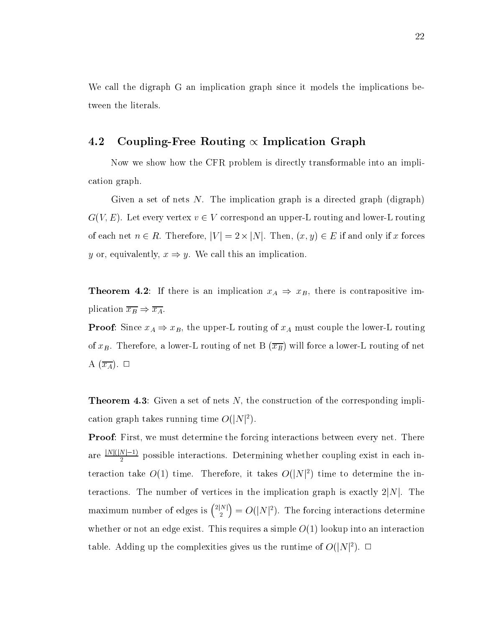We call the digraph G an implication graph since it models the implications between the literals.

## 4.2 Coupling-Free Routing  $\propto$  Implication Graph

Now we show how the CFR problem is directly transformable into an implication graph.

Given a set of nets  $N$ . The implication graph is a directed graph (digraph)  $G(\nabla V)=\nabla V$  is every vertex vertex vertex vertex vertex  $\Omega$  and lower-lower-lower-lower-lower-lower-lower-lower-lower-lower-lower-lower-lower-lower-lower-lower-lower-lower-lower-lower-lower-lower-lower-lower-lower-low  $\sum_{i=1}^{n}$  and  $\sum_{i=1}^{n}$   $\sum_{i=1}^{n}$   $\sum_{i=1}^{n}$   $\sum_{i=1}^{n}$   $\sum_{i=1}^{n}$   $\sum_{i=1}^{n}$   $\sum_{i=1}^{n}$   $\sum_{i=1}^{n}$   $\sum_{i=1}^{n}$   $\sum_{i=1}^{n}$   $\sum_{i=1}^{n}$   $\sum_{i=1}^{n}$   $\sum_{i=1}^{n}$   $\sum_{i=1}^{n}$   $\sum_{i=1}^{n}$   $\sum_{i=1}^{$  $y$  )  $y$  , we can implicate the call this and implication. We can implicate this analysis and implication.

Theorem 4.2: If there is an implication xA ) xB, there is contrapositive implication  $\bm{B}$  ) and  $\bm{A}$  is a sample of  $\bm{A}$ 

 $P$ rance  $\mathcal{A}$  is saint the upper-L routing of  $\mathcal{A}$  and  $\mathcal{A}$  is the lower-lower-lower-lower-lower-lower-lower-lower-lower-lower-lower-lower-lower-lower-lower-lower-lower-lower-lower-lower-lower-lower-lower-lowe of  $x_B$ . Therefore, a lower-L routing of net B  $(\overline{x_B})$  will force a lower-L routing of net A  $(\overline{x_A})$ .  $\Box$ 

**Theorem 4.3:** Given a set of nets  $N$ , the construction of the corresponding implication graph takes running time  $O(|N|^2)$ .

Proof: First, we must determine the forcing interactions between every net. There are  $\frac{p+1}{2}$  possible interactions. Determining whether coupling exist in each interaction take  $O(1)$  time. Therefore, it takes  $O(|N|^2)$  time to determine the interactions. The number of vertices in the implication graph is exactly  $2|N|$ . The maximum number of edges is  ${2|N| \choose 2} = O(|N|^2)$ . The forcing interactions determine whether or not an edge exist. This requires a simple  $O(1)$  lookup into an interaction table. Adding up the complexities gives us the runtime of  $O(|N|^2)$ .  $\Box$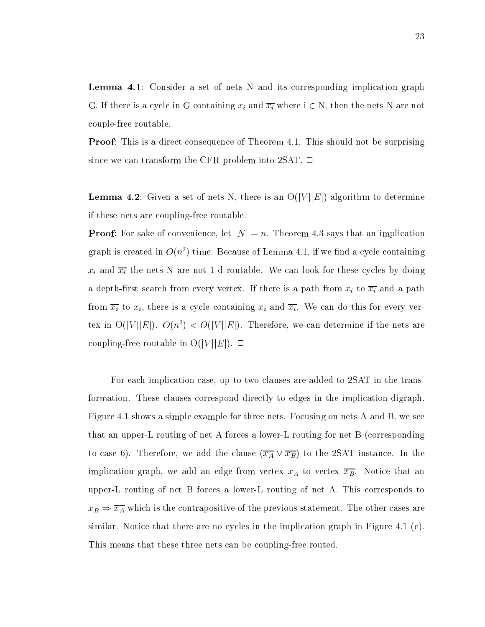Lemma 4.1: Consider a set of nets N and its corresponding implication graph G. If there is a cycle in G containing xi and xi where i 2 N, then the nets N are not couple-free routable.

Proof: This is a direct consequence of Theorem 4.1. This should not be surprising since we can transform the CFR problem into 2SAT.  $\Box$ 

**Lemma 4.2**: Given a set of nets N, there is an  $O(|V||E|)$  algorithm to determine if these nets are coupling-free routable.

**Proof:** For sake of convenience, let  $|N|=n$ . Theorem 4.3 says that an implication graph is created in  $O(n^2)$  time. Because of Lemma 4.1, if we find a cycle containing  $x_i$  and  $\overline{x_i}$  the nets N are not 1-d routable. We can look for these cycles by doing a depth-first search from every vertex. If there is a path from  $x_i$  to  $\overline{x_i}$  and a path from  $\overline{x_i}$  to  $x_i$ , there is a cycle containing  $x_i$  and  $\overline{x_i}$ . We can do this for every vertex in  $O(|V||E|)$ .  $O(n^2) < O(|V||E|)$ . Therefore, we can determine if the nets are coupling-free routable in  $O(|V||E|)$ .  $\Box$ 

For each implication case, up to two clauses are added to 2SAT in the transformation. These clauses correspond directly to edges in the implication digraph. Figure 4.1 shows a simple example for three nets. Focusing on nets A and B, we see that an upper-L routing of net A forces a lower-L routing for net B (corresponding to case 6). The case 6). The case  $\mathbf{A}$  is the  $\mathbf{B}$  to the 2SAT instance. In the 2SAT instance. In the 2SAT instance. In the 2SAT instance. In the 2SAT instance. In the 2SAT instance. In the 2SAT instance. In the 2 implication graph, we add an edge from vertex  $x_A$  to vertex  $\overline{x_B}$ . Notice that an upper-L routing of net B forces a lower-L routing of net A. This corresponds to  $\mathbf{B}$  is the contrapositive of the previous statement. The other cases are cases are cases are cases are cases are cases are cases are cases are cases are cases are cases are cases are cases are cases are cases are cas similar. Notice that there are no cycles in the implication graph in Figure 4.1 (c). This means that these three nets can be coupling-free routed.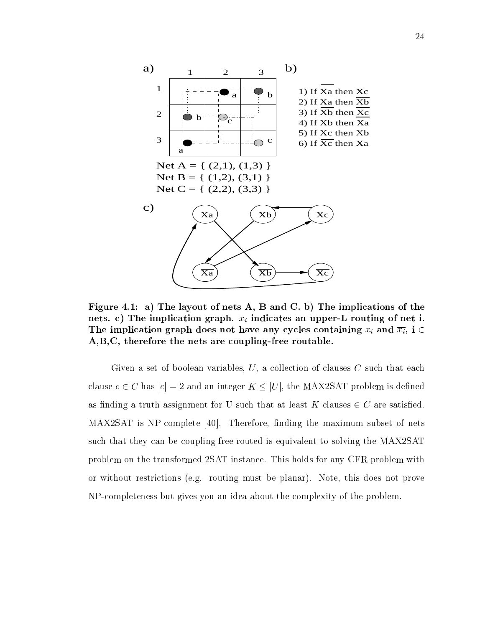

Figure 4.1: a) The layout of nets A, B and C.b) The implications of the nets. c) The implication graph.  $x_i$  indicates an upper-L routing of net i. The implication graph does not have any cycles containing  $x_i$  and  $\overline{x_i}$ , i  $\in$ A,B,C, therefore the nets are coupling-free routable.

Given a set of boolean variables,  $U$ , a collection of clauses  $C$  such that each clause  $c \in C$  has  $|c| = 2$  and an integer  $K \leq |U|$ , the MAX2SAT problem is defined as finding a truth assignment for U such that at least  $K$  clauses  $\in C$  are satisfied. MAX2SAT is NP-complete [40]. Therefore, finding the maximum subset of nets such that they can be coupling-free routed is equivalent to solving the MAX2SAT problem on the transformed 2SAT instance. This holds for any CFR problem with or without restrictions (e.g. routing must be planar). Note, this does not prove NP-completeness but gives you an idea about the complexity of the problem.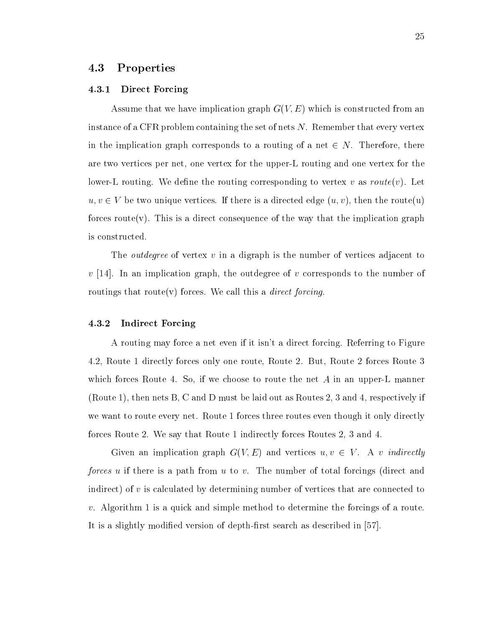#### 4.3 Properties

#### 4.3.1 Direct Forcing

Assume that we have implication graph  $G(V, E)$  which is constructed from an instance of a CFR problem containing the set of nets N. Remember that every vertex in the implication graph corresponds to a routing of a net 2 N. Therefore, there are two vertices per net, one vertex for the upper-L routing and one vertex for the lower-L routing. We define the routing corresponding to vertex v as  $route(v)$ . Let u; v 2 V be two unique vertices. If the route vertices is a directed edge (u)  $\lambda$ , then the route(u)  $\lambda$ forces route(v). This is a direct consequence of the way that the implication graph is constructed.

The *outdegree* of vertex v in a digraph is the number of vertices adjacent to  $v$  [14]. In an implication graph, the outdegree of v corresponds to the number of routings that route(v) forces. We call this a *direct forcing*.

#### 4.3.2 Indirect Forcing

A routing may force a net even if it isn't a direct forcing. Referring to Figure 4.2, Route 1 directly forces only one route, Route 2.But, Route 2 forces Route 3 which forces Route 4. So, if we choose to route the net  $A$  in an upper-L manner (Route 1), then nets B, C and D must be laid out as Routes 2, 3 and 4, respectively if we want to route every net. Route 1 forces three routes even though it only directly forces Route 2. We say that Route 1 indirectly forces Routes 2, 3 and 4.

Given an implication graph G(V;  $\ell = 1$  and vertices u; v  $\ell = 1$  . A v indirection  $\beta$ forces u if there is a path from u to v. The number of total forcings (direct and indirect) of  $v$  is calculated by determining number of vertices that are connected to v. Algorithm 1 is a quick and simple method to determine the forcings of a route. It is a slightly modified version of depth-first search as described in [57].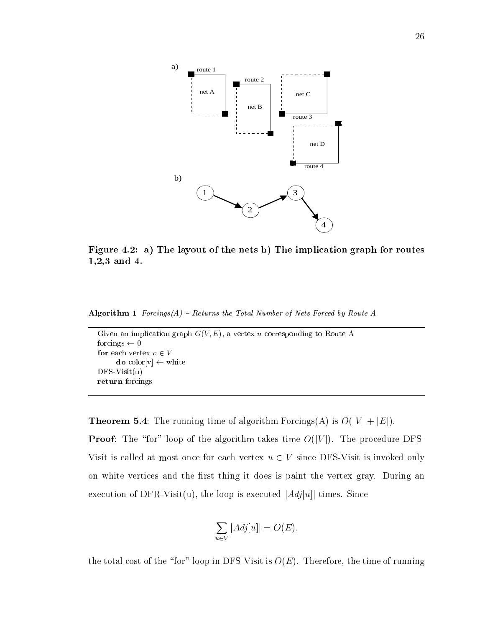

Figure 4.2: a) The layout of the nets b) The implication graph for routes 1,2,3 and 4.

Algorithm 1  $Forcings(A)$  – Returns the Total Number of Nets Forced by Route A

```
Given an implication graph G(V, E), a vertex u corresponding to Route A
forcings \leftarrow 0for each vertex v \in V\mathbf{do} \text{ color}[v] \leftarrow \text{white}DFS-Visit(u)
return forcings
```
**Theorem 5.4:** The running time of algorithm Forcings(A) is  $O(|V| + |E|)$ .

**Proof:** The "for" loop of the algorithm takes time  $O(|V|)$ . The procedure DFS- $\mathcal{L}^{\text{v}}$  is called at most once for each vertex u  $2$  visit is invoked only invoked only invoked only invoked on on white vertices and the first thing it does is paint the vertex gray. During an execution of DFR-Visit(u), the loop is executed  $|Adj[u]|$  times. Since

$$
\sum_{u \in V} |Adj[u]| = O(E),
$$

the total cost of the "for" loop in DFS-Visit is  $O(E)$ . Therefore, the time of running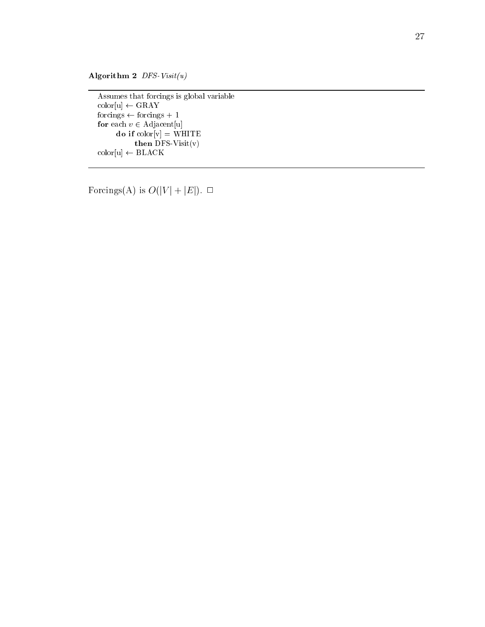Algorithm 2  $DFS\text{-}Visit(u)$ 

Assumes that forcings is global variable color products and colored and colored and colored and colored and colored and colored and colored and colored and colored and colored and colored and colored and colored and colored and colored and colored and colored and for  $f(x) = f(x)$  ,  $f(x) = f(x)$  ,  $f(x) = f(x)$  ,  $f(x) = f(x)$  ,  $f(x) = f(x)$  ,  $f(x) = f(x)$  ,  $f(x) = f(x)$  ,  $f(x) = f(x)$  ,  $f(x) = f(x)$  ,  $f(x) = f(x)$  ,  $f(x) = f(x)$  ,  $f(x) = f(x)$  ,  $f(x) = f(x)$  ,  $f(x) = f(x)$  ,  $f(x) = f(x)$  ,  $f(x) = f(x)$  ,  $f(x) = f(x)$  ,  $f(x) = f(x)$  , for eac h <sup>v</sup> <sup>2</sup> Adjacent[u] do if  $color[v] = WHITE$ then DFS-Visit $(v)$ color<sub>i</sub>ng coloring and coloring the coloring of the coloring of the coloring of the coloring of the coloring of the coloring of the coloring of the coloring of the coloring of the coloring of the coloring of the coloring

Forces Home (1999) is the set of the set of the set of the set of the set of the set of the set of the set of the set of the set of the set of the set of the set of the set of the set of the set of the set of the set of th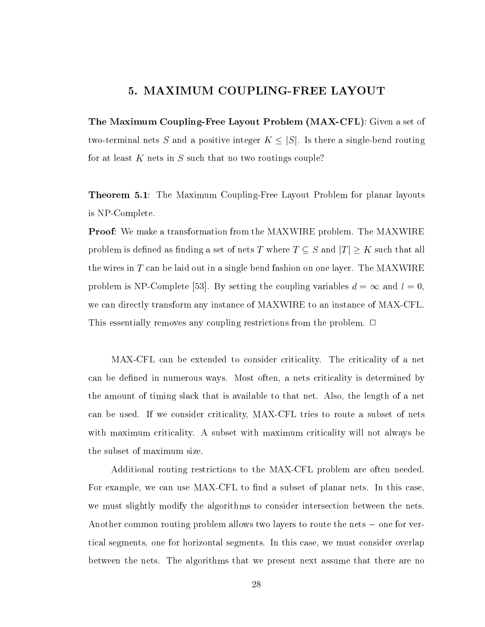#### 5. MAXIMUM COUPLING-FREE LAYOUT

The Maximum Coupling-Free Layout Problem (MAX-CFL): Given a set of for at least K nets in S such that no two routings couple?

Theorem 5.1: The Maximum Coupling-Free Layout Problem for planar layouts is NP-Complete.

Proof: We make a transformation from the MAXWIRE problem. The MAXWIRE  $\begin{array}{c} \text{F} \\ \text{F} \end{array}$ the wires in  $T$  can be laid out in a single bend fashion on one layer. The MAXWIRE problem is NP-Complete [53]. By setting the complete  $\alpha$  , intervals d = 1 and l  $=0,1,2$ we can directly transform any instance of MAXWIRE to an instance of MAX-CFL. This essentially removes any coupling restrictions from the problem.  $\Box$ 

MAX-CFL can be extended to consider criticality. The criticality of a net can be defined in numerous ways. Most often, a nets criticality is determined by the amount of timing slack that is available to that net. Also, the length of a net can be used. If we consider criticality, MAX-CFL tries to route a subset of nets with maximum criticality. A subset with maximum criticality will not always be the subset of maximum size.

Additional routing restrictions to the MAX-CFL problem are often needed. For example, we can use MAX-CFL to find a subset of planar nets. In this case, we must slightly modify the algorithms to consider intersection between the nets.  $\mathbf{O}(\mathbf{F})$  route the nets is route the nets in verse state the nets is nets in verse state the nets in verse state the nets is net stated in the nets in verse stated in the nets is nets in the nets in the nets in the tical segments, one for horizontal segments. In this case, we must consider overlap between the nets. The algorithms that we present next assume that there are no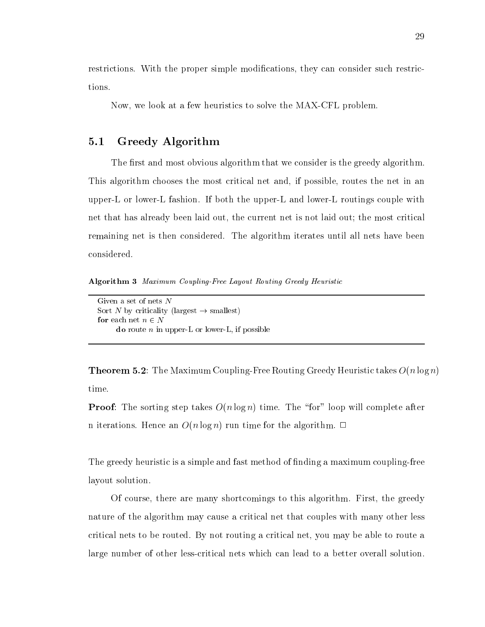restrictions. With the proper simple modications, they can consider such restrictions.

Now, we look at a few heuristics to solve the MAX-CFL problem.

#### 5.1 Greedy Algorithm

The first and most obvious algorithm that we consider is the greedy algorithm. This algorithm chooses the most critical net and, if possible, routes the net in an upper-L or lower-L fashion. If both the upper-L and lower-L routings couple with net that has already been laid out, the current net is not laid out; the most critical remaining net is then considered. The algorithm iterates until all nets have been considered.

Algorithm 3 Maximum Coupling-Free Layout Routing Greedy Heuristic

| Given a set of nets $N$                                     |  |
|-------------------------------------------------------------|--|
| Sort N by criticality (largest $\rightarrow$ smallest)      |  |
| for each net $n \in N$                                      |  |
| <b>do</b> route <i>n</i> in upper-L or lower-L, if possible |  |

**Theorem 5.2:** The Maximum Coupling-Free Routing Greedy Heuristic takes  $O(n \log n)$ 

**Proof:** The sorting step takes  $O(n \log n)$  time. The "for" loop will complete after n iterations. Hence an  $O(n \log n)$  run time for the algorithm.  $\Box$ 

The greedy heuristic is a simple and fast method of finding a maximum coupling-free layout solution.

Of course, there are many shortcomings to this algorithm. First, the greedy nature of the algorithm may cause a critical net that couples with many other less critical nets to be routed. By not routing a critical net, you may be able to route a large number of other less-critical nets which can lead to a better overall solution.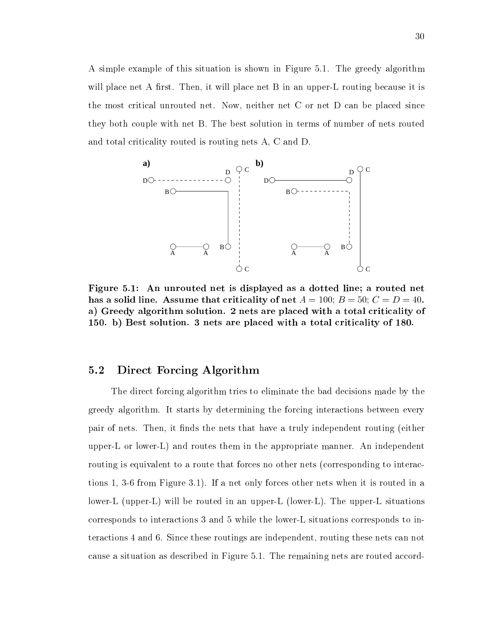A simple example of this situation is shown in Figure 5.1. The greedy algorithm will place net A first. Then, it will place net B in an upper-L routing because it is the most critical unrouted net.Now, neither net C or net D can be placed since they both couple with net B. The best solution in terms of number of nets routed and total criticality routed is routing nets A, C and D.



Figure 5.1: An unrouted net is displayed as a dotted line; a routed net has a solid line. Assume that criticality of net  $A = 100$ ;  $B = 50$ ;  $C = D = 40$ . a) Greedy algorithm solution. 2 nets are placed with a total criticality of 150. b) Best solution. 3 nets are placed with a total criticality of 180.

#### 5.2 Direct Forcing Algorithm

The direct forcing algorithm tries to eliminate the bad decisions made by the greedy algorithm. It starts by determining the forcing interactions between every pair of nets. Then, it finds the nets that have a truly independent routing (either upper-L or lower-L) and routes them in the appropriate manner. An independent routing is equivalent to a route that forces no other nets (corresponding to interactions 1, 3-6 from Figure 3.1). If a net only forces other nets when it is routed in a lower-L (upper-L) will be routed in an upper-L (lower-L). The upper-L situations corresponds to interactions 3 and 5 while the lower-L situations corresponds to interactions 4 and 6. Since these routings are independent, routing these nets can not cause a situation as described in Figure 5.1. The remaining nets are routed accord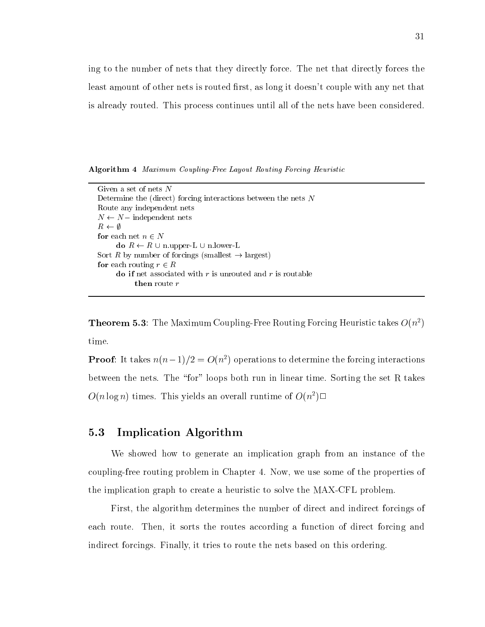ing to the number of nets that they directly force. The net that directly forces the least amount of other nets is routed first, as long it doesn't couple with any net that is already routed. This process continues until all of the nets have been considered.

Algorithm 4 Maximum Coupling-Free Layout Routing Forcing Heuristic

| Given a set of nets $N$                                          |
|------------------------------------------------------------------|
| Determine the (direct) forcing interactions between the nets $N$ |
| Route any independent nets                                       |
| $N \leftarrow N-$ independent nets                               |
| $R \leftarrow \emptyset$                                         |
| for each net $n \in N$                                           |
| do $R \leftarrow R \cup n$ upper-L $\cup$ n lower-L              |
| Sort R by number of forcings (smallest $\rightarrow$ largest)    |
| for each routing $r \in R$                                       |
| <b>do if</b> net associated with r is unrouted and r is routable |
| then route $r$                                                   |
|                                                                  |

**Theorem 5.3:** The Maximum Coupling-Free Routing Forcing Heuristic takes  $O(n^2)$ time.

**Proof:** It takes  $n(n-1)/2 = O(n^2)$  operations to determine the forcing interactions between the nets. The "for" loops both run in linear time. Sorting the set R takes  $O(n \log n)$  times. This yields an overall runtime of  $O(n^2)$ 

### 5.3 Implication Algorithm

We showed how to generate an implication graph from an instance of the coupling-free routing problem in Chapter 4. Now, we use some of the properties of the implication graph to create a heuristic to solve the MAX-CFL problem.

First, the algorithm determines the number of direct and indirect forcings of each route. Then, it sorts the routes according a function of direct forcing and indirect forcings. Finally, it tries to route the nets based on this ordering.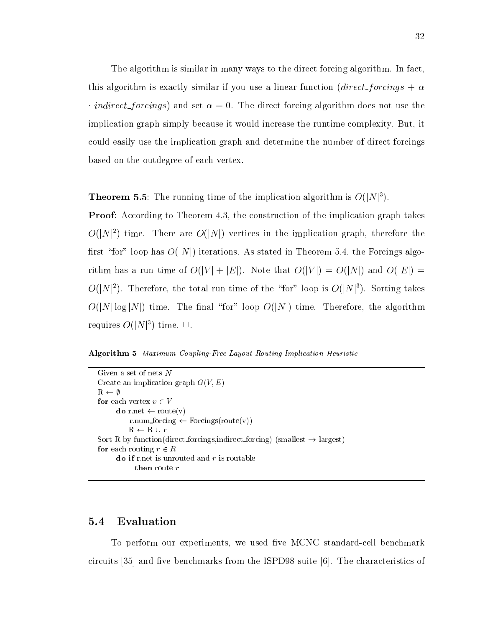The algorithm is similar in many ways to the direct forcing algorithm. In fact, this algorithm is exactly similar if you use a linear function (direct forcings  $+\alpha$ )  $i$  indirect forcings) and set  $\alpha = 0$ . The direct forcing algorithm does not use the implication graph simply because it would increase the runtime complexity. But, it could easily use the implication graph and determine the number of direct forcings based on the outdegree of each vertex.

**Theorem 5.5:** The running time of the implication algorithm is  $O(|N|^3)$ .

Proof: According to Theorem 4.3, the construction of the implication graph takes  $O(|N|^2)$  time. There are  $O(|N|)$  vertices in the implication graph, therefore the first "for" loop has  $O(|N|)$  iterations. As stated in Theorem 5.4, the Forcings algorithm has a run time of  $O(|V| + |E|)$ . Note that  $O(|V|) = O(|N|)$  and  $O(|E|) =$  $O(|N|^2)$ . Therefore, the total run time of the "for" loop is  $O(|N|^3)$ . Sorting takes  $O(|N|\log |N|)$  time. The final "for" loop  $O(|N|)$  time. Therefore, the algorithm requires  $O(|N|^3)$  time.  $\Box$ .

Algorithm 5 Maximum Coupling-Free Layout Routing Implication Heuristic

```
Given a set of nets N
Create an implication graph G(V, E)R \leftarrow \emptysetfor each vertex v \in V\mathbf{do} r.net \leftarrow route(v)
          r.num_forcing \leftarrow Forcings(route(v))
          R \leftarrow R \cup rSort R by function(direct forcings, indirect forcing) (smallest \rightarrow largest)
for each routing r \in Rdo if r.net is unrouted and r is routable
             then route r
```
#### 5.4 Evaluation

To perform our experiments, we used five MCNC standard-cell benchmark circuits  $[35]$  and five benchmarks from the ISPD98 suite  $[6]$ . The characteristics of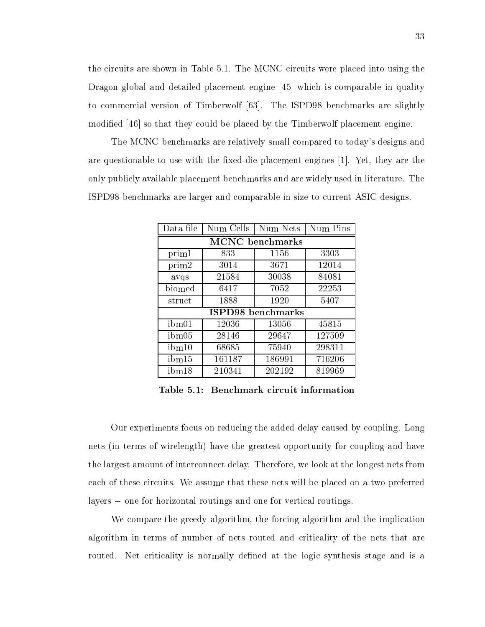the circuits are shown in Table 5.1. The MCNC circuits were placed into using the Dragon global and detailed placement engine [45] which is comparable in quality to commercial version of Timberwolf [63]. The ISPD98 benchmarks are slightly modied [46] so that they could be placed by the Timberwolf placement engine.

The MCNC benchmarks are relatively small compared to today's designs and are questionable to use with the fixed-die placement engines  $[1]$ . Yet, they are the only publicly available placement benchmarks and are widely used in literature. The ISPD98 benchmarks are larger and comparable in size to current ASIC designs.

| Data file                | Num Cells | Num Nets | Num Pins |
|--------------------------|-----------|----------|----------|
| <b>MCNC</b> benchmarks   |           |          |          |
| prim1                    | 833       | 1156     | 3303     |
| prim2                    | 3014      | 3671     | 12014    |
| avqs                     | 21584     | 30038    | 84081    |
| bined                    | 6417      | 7052     | 22253    |
| struct                   | 1888      | 1920     | 5407     |
| <b>ISPD98</b> benchmarks |           |          |          |
| ibm01                    | 12036     | 13056    | 45815    |
| ibm05                    | 28146     | 29647    | 127509   |
| ibm10                    | 68685     | 75940    | 298311   |
| ibm15                    | 161187    | 186991   | 716206   |
| ibm18                    | 210341    | 202192   | 819969   |

Table 5.1: Benchmark circuit information

Our experiments focus on reducing the added delay caused by coupling. Long nets (in terms of wirelength) have the greatest opportunity for coupling and have the largest amount of interconnect delay. Therefore, we look at the longest nets from each of these circuits. We assume that these nets will be placed on a two preferred  $\Omega$  and one for vertical routings and one for vertical routings and one for vertical routings.

We compare the greedy algorithm, the forcing algorithm and the implication algorithm in terms of number of nets routed and criticality of the nets that are routed. Net criticality is normally defined at the logic synthesis stage and is a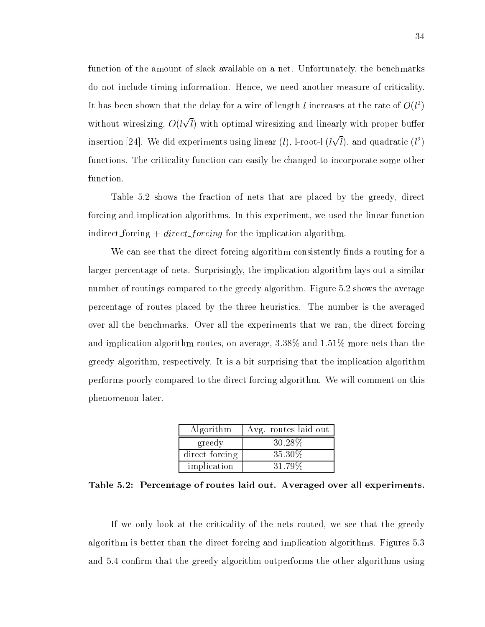function of the amount of slack available on a net. Unfortunately, the benchmarks do not include timing information. Hence, we need another measure of criticality. It has been shown that the delay for a wire of length l increases at the rate of  $O(l^2)$ without wiresizing,  $O(l\sqrt{l})$  with optimal wiresizing and linearly with proper buffer insertion [24]. We did experiments using linear (l), l-root-l  $(l\sqrt{l})$ , and quadratic  $(l^2)$ functions. The criticality function can easily be changed to incorporate some other function.

Table 5.2 shows the fraction of nets that are placed by the greedy, direct forcing and implication algorithms. In this experiment, we used the linear function indirect forcing +  $direct\_forcing$  for the implication algorithm.

We can see that the direct forcing algorithm consistently finds a routing for a larger percentage of nets. Surprisingly, the implication algorithm lays out a similar number of routings compared to the greedy algorithm. Figure 5.2 shows the average percentage of routes placed by the three heuristics. The number is the averaged over all the benchmarks. Over all the experiments that we ran, the direct forcing and implication algorithm routes, on average, 3.38% and 1.51% more nets than the greedy algorithm, respectively. It is a bit surprising that the implication algorithm performs poorly compared to the direct forcing algorithm. We will comment on this phenomenon later.

| Algorithm      | Avg. routes laid out |
|----------------|----------------------|
| greedy         | 30.28\%              |
| direct forcing | 35.30%               |
| implication    | 31.79%               |

Table 5.2: Percentage of routes laid out. Averaged over all experiments.

If we only look at the criticality of the nets routed, we see that the greedy algorithm is better than the direct forcing and implication algorithms. Figures 5.3 and 5.4 confirm that the greedy algorithm outperforms the other algorithms using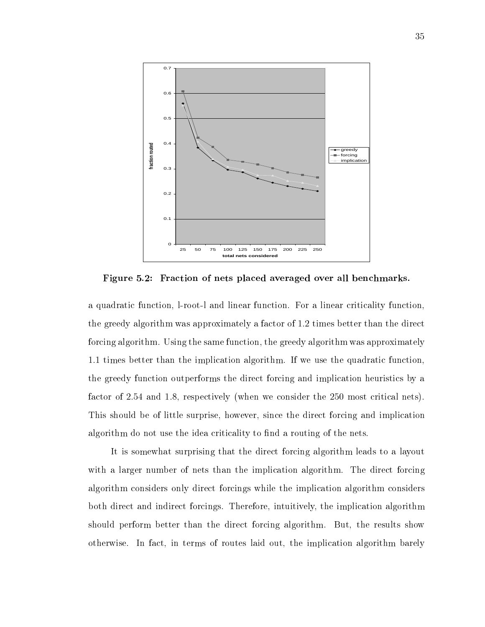

Figure 5.2: Fraction of nets placed averaged over all benchmarks.

a quadratic function, l-root-l and linear function. For a linear criticality function, the greedy algorithm was approximately a factor of 1.2 times better than the direct forcing algorithm. Using the same function, the greedy algorithm was approximately 1.1 times better than the implication algorithm. If we use the quadratic function, the greedy function outperforms the direct forcing and implication heuristics by a factor of 2.54 and 1.8, respectively (when we consider the  $250$  most critical nets). This should be of little surprise, however, since the direct forcing and implication algorithm do not use the idea criticality to find a routing of the nets.

It is somewhat surprising that the direct forcing algorithm leads to a layout with a larger number of nets than the implication algorithm. The direct forcing algorithm considers only direct forcings while the implication algorithm considers both direct and indirect forcings. Therefore, intuitively, the implication algorithm should perform better than the direct forcing algorithm. But, the results show otherwise. In fact, in terms of routes laid out, the implication algorithm barely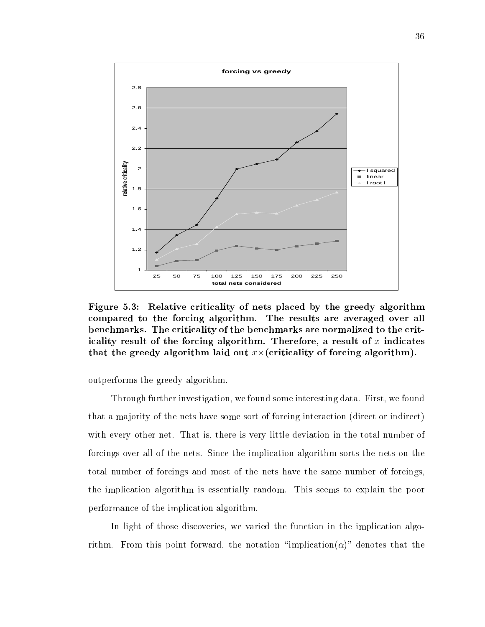

Figure 5.3: Relative criticality of nets placed by the greedy algorithm compared to the forcing algorithm. The results are averaged over all benchmarks. The criticality of the benchmarks are normalized to the criticality result of the forcing algorithm. Therefore, a result of  $x$  indicates that the greedy algorithm laid out x-(criticality of forcing algorithm).

outperforms the greedy algorithm.

Through further investigation, we found some interesting data. First, we found that a ma jority of the nets have some sort of forcing interaction (direct or indirect) with every other net. That is, there is very little deviation in the total number of forcings over all of the nets. Since the implication algorithm sorts the nets on the total number of forcings and most of the nets have the same number of forcings, the implication algorithm is essentially random. This seems to explain the poor performance of the implication algorithm.

In light of those discoveries, we varied the function in the implication algorithm. From this point forward, the notation "implication( $\alpha$ )" denotes that the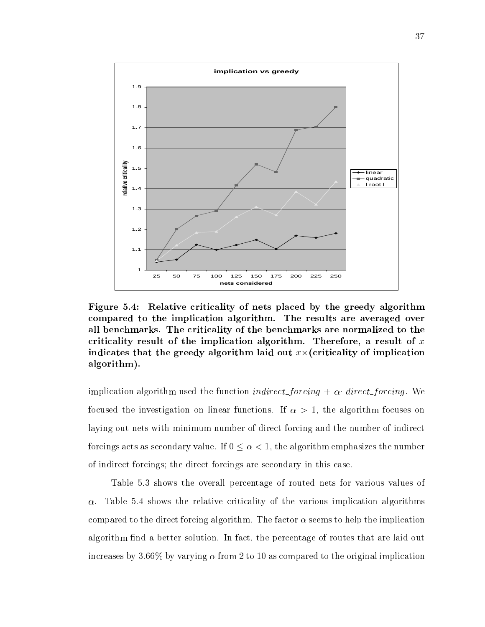

Figure 5.4: Relative criticality of nets placed by the greedy algorithm compared to the implication algorithm. The results are averaged over all benchmarks. The criticality of the benchmarks are normalized to the criticality result of the implication algorithm. Therefore, a result of  $x$ indicates that the greedy algorithm later  $\mathbf{r}$ algorithm).

implication algorithm used the function *indirect\_forcing* +  $\alpha$  *direct\_forcing*. We focused the investigation on linear functions. If  $\alpha > 1$ , the algorithm focuses on laying out nets with minimum number of direct forcing and the number of indirect for  $\alpha$  and  $\alpha$  are secondary values. If  $\alpha$  is  $\alpha$  is  $\alpha$  and  $\alpha$  is algorithm emphasized the number of of indirect forcings; the direct forcings are secondary in this case.

Table 5.3 shows the overall percentage of routed nets for various values of  $\alpha$ . Table 5.4 shows the relative criticality of the various implication algorithms compared to the direct forcing algorithm. The factor  $\alpha$  seems to help the implication algorithm find a better solution. In fact, the percentage of routes that are laid out increases by 3.66% by varying  $\alpha$  from 2 to 10 as compared to the original implication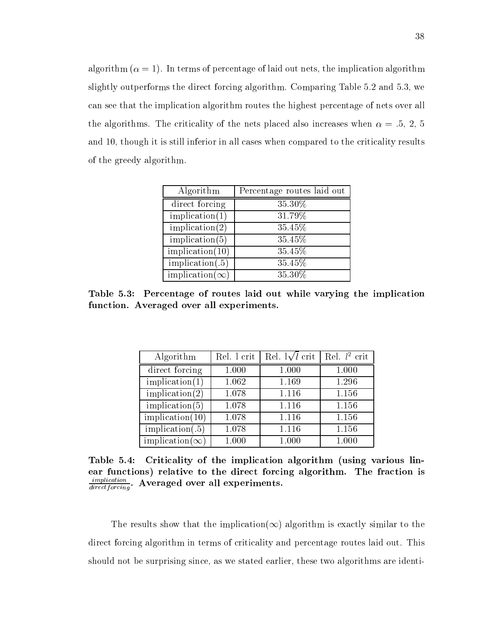algorithm ( $\alpha = 1$ ). In terms of percentage of laid out nets, the implication algorithm slightly outperforms the direct forcing algorithm. Comparing Table 5.2 and 5.3, we can see that the implication algorithm routes the highest percentage of nets over all the algorithms. The criticality of the nets placed also increases when  $\alpha = .5, 2, 5$ and 10, though it is still inferior in all cases when compared to the criticality results of the greedy algorithm.

| Algorithm               | Percentage routes laid out |
|-------------------------|----------------------------|
| direct forcing          | 35.30%                     |
| implication(1)          | 31.79%                     |
| implication $(2)$       | 35.45%                     |
| implication(5)          | 35.45%                     |
| implication(10)         | 35.45%                     |
| implication(.5)         | 35.45%                     |
| implication( $\infty$ ) | 35.30%                     |

Table 5.3: Percentage of routes laid out while varying the implication function. Averaged over all experiments.

| Algorithm               | Rel. 1 crit | Rel. $l\sqrt{l}$ crit   Rel. $l^2$ crit |       |
|-------------------------|-------------|-----------------------------------------|-------|
| direct forcing          | 1.000       | 1.000                                   | 1.000 |
| implication(1)          | 1.062       | 1.169                                   | 1.296 |
| implication $(2)$       | 1.078       | 1.116                                   | 1.156 |
| implication $(5)$       | 1.078       | 1.116                                   | 1.156 |
| implication(10)         | 1.078       | 1.116                                   | 1.156 |
| implication(.5)         | 1.078       | 1.116                                   | 1.156 |
| implication( $\infty$ ) | 1.000       | 1.000                                   | 1.000 |

Table 5.4: Criticality of the implication algorithm (using various linear functions) relative to the direct forcing algorithm. The fraction is  $\frac{unprim}{directforcing}$ . Averaged over all experiments.

The results show that the implication( $\infty$ ) algorithm is exactly similar to the direct forcing algorithm in terms of criticality and percentage routes laid out. This should not be surprising since, as we stated earlier, these two algorithms are identi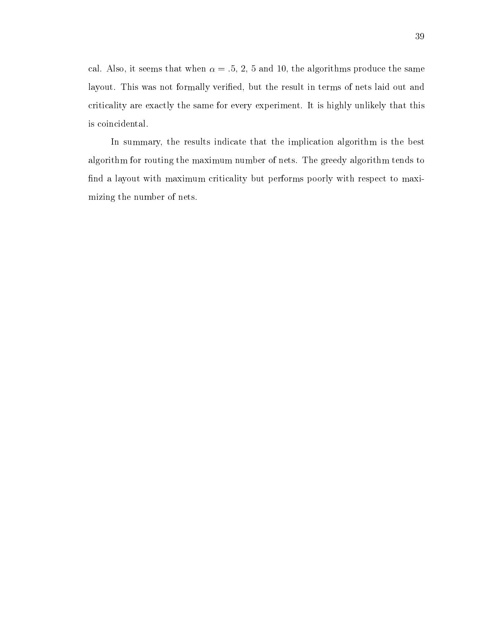cal. Also, it seems that when  $\alpha = .5, 2, 5$  and 10, the algorithms produce the same layout. This was not formally veried, but the result in terms of nets laid out and criticality are exactly the same for every experiment. It is highly unlikely that this is coincidental.

In summary, the results indicate that the implication algorithm is the best algorithm for routing the maximum number of nets. The greedy algorithm tends to find a layout with maximum criticality but performs poorly with respect to maximizing the number of nets.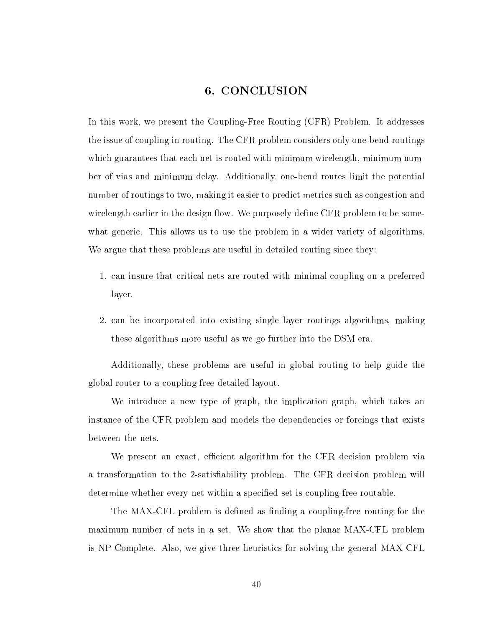#### 6. CONCLUSION

In this work, we present the Coupling-Free Routing (CFR) Problem. It addresses the issue of coupling in routing. The CFR problem considers only one-bend routings which guarantees that each net is routed with minimum wirelength, minimum number of vias and minimum delay. Additionally, one-bend routes limit the potential number of routings to two, making it easier to predict metrics such as congestion and wirelength earlier in the design flow. We purposely define CFR problem to be somewhat generic. This allows us to use the problem in a wider variety of algorithms. We argue that these problems are useful in detailed routing since they:

- 1. can insure that critical nets are routed with minimal coupling on a preferred layer.
- 2. can be incorporated into existing single layer routings algorithms, making these algorithms more useful as we go further into the DSM era.

Additionally, these problems are useful in global routing to help guide the global router to a coupling-free detailed layout.

We introduce a new type of graph, the implication graph, which takes an instance of the CFR problem and models the dependencies or forcings that exists between the nets.

We present an exact, efficient algorithm for the CFR decision problem via a transformation to the 2-satisability problem. The CFR decision problem will determine whether every net within a specified set is coupling-free routable.

The MAX-CFL problem is defined as finding a coupling-free routing for the maximum number of nets in a set. We show that the planar MAX-CFL problem is NP-Complete. Also, we give three heuristics for solving the general MAX-CFL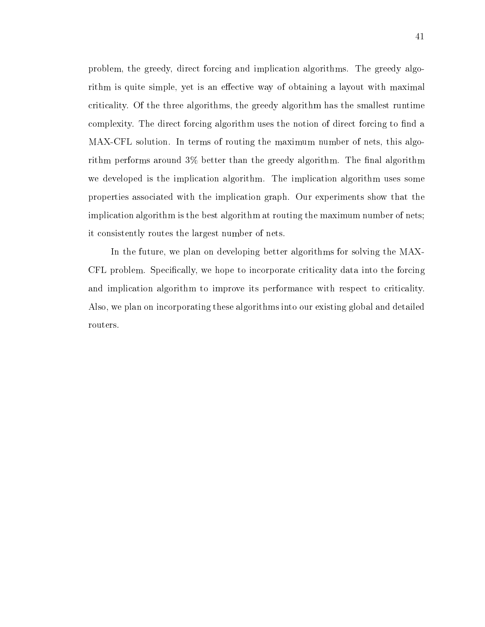problem, the greedy, direct forcing and implication algorithms. The greedy algorithm is quite simple, yet is an effective way of obtaining a layout with maximal criticality. Of the three algorithms, the greedy algorithm has the smallest runtime complexity. The direct forcing algorithm uses the notion of direct forcing to find a MAX-CFL solution. In terms of routing the maximum number of nets, this algorithm performs around  $3\%$  better than the greedy algorithm. The final algorithm we developed is the implication algorithm. The implication algorithm uses some properties associated with the implication graph. Our experiments show that the implication algorithm is the best algorithm at routing the maximum number of nets; it consistently routes the largest number of nets.

In the future, we plan on developing better algorithms for solving the MAX-CFL problem. Specically, we hope to incorporate criticality data into the forcing and implication algorithm to improve its performance with respect to criticality. Also, we plan on incorporating these algorithms into our existing global and detailed routers.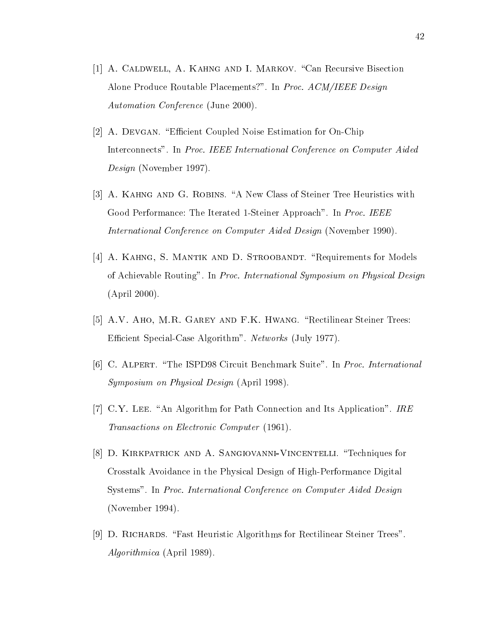- [1] A. CALDWELL, A. KAHNG AND I. MARKOV. "Can Recursive Bisection Alone Produce Routable Placements?". In Proc. ACM/IEEE Design Automation Conference (June 2000).
- [2] A. DEVGAN. "Efficient Coupled Noise Estimation for On-Chip Interconnects". In Proc. IEEE International Conference on Computer Aided Design (November 1997).
- [3] A. KAHNG AND G. ROBINS. "A New Class of Steiner Tree Heuristics with Good Performance: The Iterated 1-Steiner Approach". In *Proc. IEEE* International Conference on Computer Aided Design (November 1990).
- [4] A. KAHNG, S. MANTIK AND D. STROOBANDT. "Requirements for Models of Achievable Routing". In Proc. International Symposium on Physical Design (April 2000).
- [5]  $A.V.$  Aho, M.R. GAREY AND F.K. HWANG. "Rectilinear Steiner Trees: Efficient Special-Case Algorithm". Networks (July 1977).
- [6] C. ALPERT. "The ISPD98 Circuit Benchmark Suite". In *Proc. International* Symposium on Physical Design (April 1998).
- [7] C.Y. LEE. "An Algorithm for Path Connection and Its Application". IRE Transactions on Electronic Computer (1961).
- [8] D. Kirkpatrick and A. Sangiovanni-Vincentelli. \Techniques for Crosstalk Avoidance in the Physical Design of High-Performance Digital Systems". In Proc. International Conference on Computer Aided Design (November 1994).
- [9] D. RICHARDS. "Fast Heuristic Algorithms for Rectilinear Steiner Trees". Algorithmica (April 1989).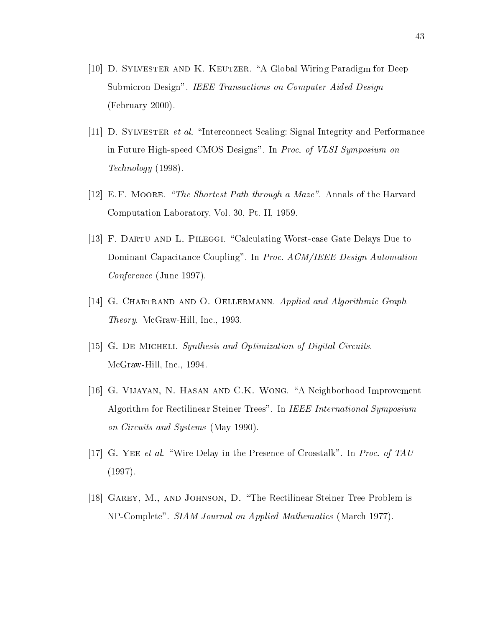- [10] D. Sylvester and K. Keutzer. \A Global Wiring Paradigm for Deep Submicron Design". IEEE Transactions on Computer Aided Design (February 2000).
- [11] D. SYLVESTER *et al.* "Interconnect Scaling: Signal Integrity and Performance in Future High-speed CMOS Designs". In Proc. of VLSI Symposium on Technology (1998).
- [12] E.F. MOORE. "The Shortest Path through a Maze". Annals of the Harvard Computation Laboratory, Vol. 30, Pt. II, 1959.
- [13] F. DARTU AND L. PILEGGI. "Calculating Worst-case Gate Delays Due to Dominant Capacitance Coupling". In Proc. ACM/IEEE Design Automation Conference (June 1997).
- [14] G. CHARTRAND AND O. OELLERMANN. Applied and Algorithmic Graph Theory. McGraw-Hill, Inc., 1993.
- [15] G. DE MICHELI. Synthesis and Optimization of Digital Circuits. McGraw-Hill, Inc., 1994.
- [16] G. VIJAYAN, N. HASAN AND C.K. WONG. "A Neighborhood Improvement Algorithm for Rectilinear Steiner Trees". In IEEE International Symposium on Circuits and Systems (May 1990).
- [17] G. YEE *et al.* "Wire Delay in the Presence of Crosstalk". In Proc. of TAU (1997).
- [18] GAREY, M., AND JOHNSON, D. "The Rectilinear Steiner Tree Problem is NP-Complete". SIAM Journal on Applied Mathematics (March 1977).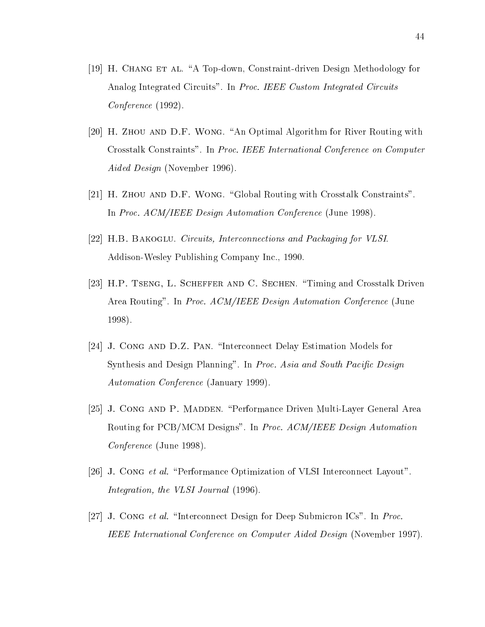- [19] H. CHANG ET AL. "A Top-down, Constraint-driven Design Methodology for Analog Integrated Circuits". In Proc. IEEE Custom Integrated Circuits Conference (1992).
- [20] H. Zhou AND D.F. WONG. "An Optimal Algorithm for River Routing with Crosstalk Constraints". In Proc. IEEE International Conference on Computer Aided Design (November 1996).
- [21] H. Zhou AND D.F. WONG. "Global Routing with Crosstalk Constraints". In Proc.  $ACM/IEEE$  Design Automation Conference (June 1998).
- [22] H.B. Bakoglu. Circuits, Interconnections and Packaging for VLSI. Addison-Wesley Publishing Company Inc., 1990.
- [23] H.P. TSENG, L. SCHEFFER AND C. SECHEN. "Timing and Crosstalk Driven Area Routing". In Proc. ACM/IEEE Design Automation Conference (June 1998).
- [24] J. Cong and D.Z. Pan. \Interconnect Delay Estimation Models for Synthesis and Design Planning". In Proc. Asia and South Pacific Design Automation Conference (January 1999).
- [25] J. CONG AND P. MADDEN. "Performance Driven Multi-Layer General Area Routing for PCB/MCM Designs". In Proc. ACM/IEEE Design Automation Conference (June 1998).
- [26] J. CONG et al. "Performance Optimization of VLSI Interconnect Layout". Integration, the VLSI Journal (1996).
- [27] J. CONG *et al.* "Interconnect Design for Deep Submicron ICs". In *Proc.* IEEE International Conference on Computer Aided Design (November 1997).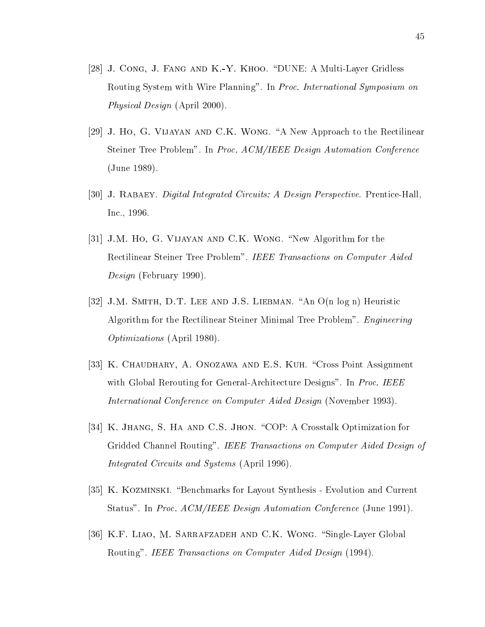- [28] J. Cong, J. Fang and K.-Y. Khoo. \DUNE: A Multi-Layer Gridless Routing System with Wire Planning". In Proc. International Symposium on Physical Design (April 2000).
- [29] J. Ho, G. VIJAYAN AND C.K. WONG. "A New Approach to the Rectilinear Steiner Tree Problem". In Proc. ACM/IEEE Design Automation Conference (June 1989).
- [30] J. Rabaey. Digital Integrated Circuits: A Design Perspective. Prentice-Hall, Inc., 1996.
- [31] J.M. Ho, G. VIJAYAN AND C.K. WONG. "New Algorithm for the Rectilinear Steiner Tree Problem". IEEE Transactions on Computer Aided Design (February 1990).
- [32] J.M. SMITH, D.T. LEE AND J.S. LIEBMAN. "An  $O(n \log n)$  Heuristic Algorithm for the Rectilinear Steiner Minimal Tree Problem". Engineering Optimizations (April 1980).
- [33] K. CHAUDHARY, A. ONOZAWA AND E.S. KUH. "Cross Point Assignment with Global Rerouting for General-Architecture Designs". In Proc. IEEE International Conference on Computer Aided Design (November 1993).
- [34] K. JHANG, S. HA AND C.S. JHON. "COP: A Crosstalk Optimization for Gridded Channel Routing". IEEE Transactions on Computer Aided Design of Integrated Circuits and Systems (April 1996).
- [35] K. KOZMINSKI. "Benchmarks for Layout Synthesis Evolution and Current Status". In Proc. ACM/IEEE Design Automation Conference (June 1991).
- [36] K.F. LIAO, M. SARRAFZADEH AND C.K. WONG. "Single-Layer Global Routing". IEEE Transactions on Computer Aided Design (1994).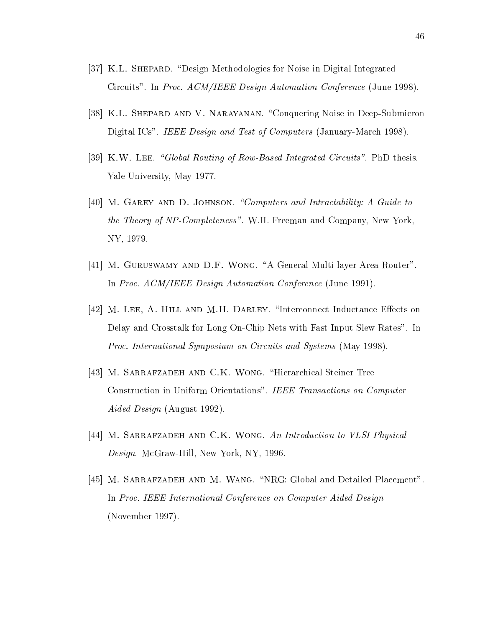- [37] K.L. SHEPARD. "Design Methodologies for Noise in Digital Integrated Circuits". In Proc. ACM/IEEE Design Automation Conference (June 1998).
- [38] K.L. Shepard and V. Narayanan. \Conquering Noise in Deep-Submicron Digital ICs". *IEEE Design and Test of Computers* (January-March 1998).
- [39] K.W. LEE. "Global Routing of Row-Based Integrated Circuits". PhD thesis, Yale University, May 1977.
- $[40]$  M. GAREY AND D. JOHNSON. "Computers and Intractability: A Guide to the Theory of NP-Completeness". W.H. Freeman and Company, New York, NY, 1979.
- [41] M. GURUSWAMY AND D.F. WONG. "A General Multi-layer Area Router". In Proc. ACM/IEEE Design Automation Conference (June 1991).
- [42] M. LEE, A. HILL AND M.H. DARLEY. "Interconnect Inductance Effects on Delay and Crosstalk for Long On-Chip Nets with Fast Input Slew Rates". In Proc. International Symposium on Circuits and Systems (May 1998).
- [43] M. SARRAFZADEH AND C.K. WONG. "Hierarchical Steiner Tree Construction in Uniform Orientations". IEEE Transactions on Computer Aided Design (August 1992).
- [44] M. SARRAFZADEH AND C.K. WONG. An Introduction to VLSI Physical Design. McGraw-Hill, New York, NY, 1996.
- [45] M. SARRAFZADEH AND M. WANG. "NRG: Global and Detailed Placement". In Proc. IEEE International Conference on Computer Aided Design (November 1997).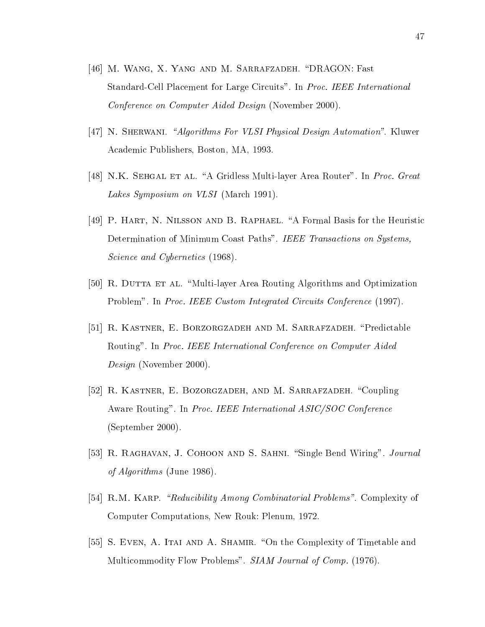- [46] M. WANG, X. YANG AND M. SARRAFZADEH. "DRAGON: Fast Standard-Cell Placement for Large Circuits". In Proc. IEEE International Conference on Computer Aided Design (November 2000).
- [47] N. SHERWANI. "Algorithms For VLSI Physical Design Automation". Kluwer Academic Publishers, Boston, MA, 1993.
- [48] N.K. SEHGAL ET AL. "A Gridless Multi-layer Area Router". In *Proc. Great* Lakes Symposium on VLSI (March 1991).
- [49] P. Hart, N. Nilsson and B. Raphael. \A Formal Basis for the Heuristic Determination of Minimum Coast Paths". IEEE Transactions on Systems, Science and Cybernetics (1968).
- [50] R. DUTTA ET AL. "Multi-layer Area Routing Algorithms and Optimization Problem". In Proc. IEEE Custom Integrated Circuits Conference (1997).
- [51] R. Kastner, E. Borzorgzadeh and M. Sarrafzadeh. \Predictable Routing". In Proc. IEEE International Conference on Computer Aided Design (November 2000).
- [52] R. Kastner, E. Bozorgzadeh, and M. Sarrafzadeh. \Coupling Aware Routing". In Proc. IEEE International ASIC/SOC Conference (September 2000).
- [53] R. RAGHAVAN, J. COHOON AND S. SAHNI. "Single Bend Wiring". *Journal* of Algorithms (June 1986).
- [54] R.M. KARP. "Reducibility Among Combinatorial Problems". Complexity of Computer Computations, New Rouk: Plenum, 1972.
- [55] S. EVEN, A. ITAI AND A. SHAMIR. "On the Complexity of Timetable and Multicommodity Flow Problems". SIAM Journal of Comp. (1976).